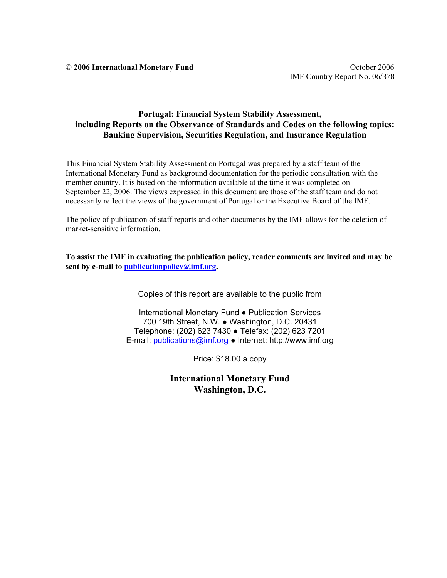#### **Portugal: Financial System Stability Assessment, including Reports on the Observance of Standards and Codes on the following topics: Banking Supervision, Securities Regulation, and Insurance Regulation**

This Financial System Stability Assessment on Portugal was prepared by a staff team of the International Monetary Fund as background documentation for the periodic consultation with the member country. It is based on the information available at the time it was completed on September 22, 2006. The views expressed in this document are those of the staff team and do not necessarily reflect the views of the government of Portugal or the Executive Board of the IMF.

The policy of publication of staff reports and other documents by the IMF allows for the deletion of market-sensitive information.

**To assist the IMF in evaluating the publication policy, reader comments are invited and may be sent by e-mail to publicationpolicy@imf.org.** 

Copies of this report are available to the public from

International Monetary Fund ● Publication Services 700 19th Street, N.W. ● Washington, D.C. 20431 Telephone: (202) 623 7430 ● Telefax: (202) 623 7201 E-mail: publications@imf.org ● Internet: http://www.imf.org

Price: \$18.00 a copy

**International Monetary Fund Washington, D.C.**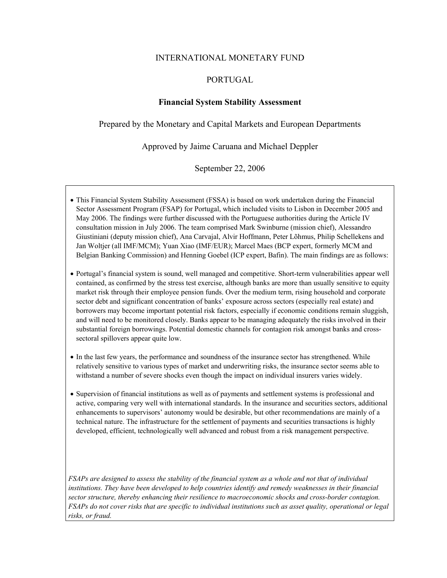#### INTERNATIONAL MONETARY FUND

#### PORTUGAL

#### **Financial System Stability Assessment**

Prepared by the Monetary and Capital Markets and European Departments

Approved by Jaime Caruana and Michael Deppler

September 22, 2006

- This Financial System Stability Assessment (FSSA) is based on work undertaken during the Financial Sector Assessment Program (FSAP) for Portugal, which included visits to Lisbon in December 2005 and May 2006. The findings were further discussed with the Portuguese authorities during the Article IV consultation mission in July 2006. The team comprised Mark Swinburne (mission chief), Alessandro Giustiniani (deputy mission chief), Ana Carvajal, Alvir Hoffmann, Peter Lõhmus, Philip Schellekens and Jan Woltjer (all IMF/MCM); Yuan Xiao (IMF/EUR); Marcel Maes (BCP expert, formerly MCM and Belgian Banking Commission) and Henning Goebel (ICP expert, Bafin). The main findings are as follows:
- Portugal's financial system is sound, well managed and competitive. Short-term vulnerabilities appear well contained, as confirmed by the stress test exercise, although banks are more than usually sensitive to equity market risk through their employee pension funds. Over the medium term, rising household and corporate sector debt and significant concentration of banks' exposure across sectors (especially real estate) and borrowers may become important potential risk factors, especially if economic conditions remain sluggish, and will need to be monitored closely. Banks appear to be managing adequately the risks involved in their substantial foreign borrowings. Potential domestic channels for contagion risk amongst banks and crosssectoral spillovers appear quite low.
- In the last few years, the performance and soundness of the insurance sector has strengthened. While relatively sensitive to various types of market and underwriting risks, the insurance sector seems able to withstand a number of severe shocks even though the impact on individual insurers varies widely.
- Supervision of financial institutions as well as of payments and settlement systems is professional and active, comparing very well with international standards. In the insurance and securities sectors, additional enhancements to supervisors' autonomy would be desirable, but other recommendations are mainly of a technical nature. The infrastructure for the settlement of payments and securities transactions is highly developed, efficient, technologically well advanced and robust from a risk management perspective.

*FSAPs are designed to assess the stability of the financial system as a whole and not that of individual institutions. They have been developed to help countries identify and remedy weaknesses in their financial sector structure, thereby enhancing their resilience to macroeconomic shocks and cross-border contagion. FSAPs do not cover risks that are specific to individual institutions such as asset quality, operational or legal risks, or fraud.*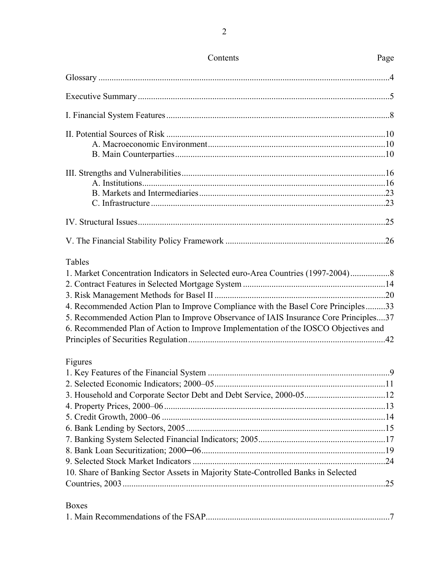| Contents                                                                                                                                                                                                                                                                                                                                                            | Page |
|---------------------------------------------------------------------------------------------------------------------------------------------------------------------------------------------------------------------------------------------------------------------------------------------------------------------------------------------------------------------|------|
|                                                                                                                                                                                                                                                                                                                                                                     |      |
|                                                                                                                                                                                                                                                                                                                                                                     |      |
|                                                                                                                                                                                                                                                                                                                                                                     |      |
|                                                                                                                                                                                                                                                                                                                                                                     |      |
|                                                                                                                                                                                                                                                                                                                                                                     |      |
|                                                                                                                                                                                                                                                                                                                                                                     |      |
|                                                                                                                                                                                                                                                                                                                                                                     |      |
| <b>Tables</b><br>1. Market Concentration Indicators in Selected euro-Area Countries (1997-2004)<br>4. Recommended Action Plan to Improve Compliance with the Basel Core Principles33<br>5. Recommended Action Plan to Improve Observance of IAIS Insurance Core Principles37<br>6. Recommended Plan of Action to Improve Implementation of the IOSCO Objectives and |      |
| Figures                                                                                                                                                                                                                                                                                                                                                             |      |
|                                                                                                                                                                                                                                                                                                                                                                     |      |
| 10. Share of Banking Sector Assets in Majority State-Controlled Banks in Selected                                                                                                                                                                                                                                                                                   |      |
| <b>Boxes</b>                                                                                                                                                                                                                                                                                                                                                        |      |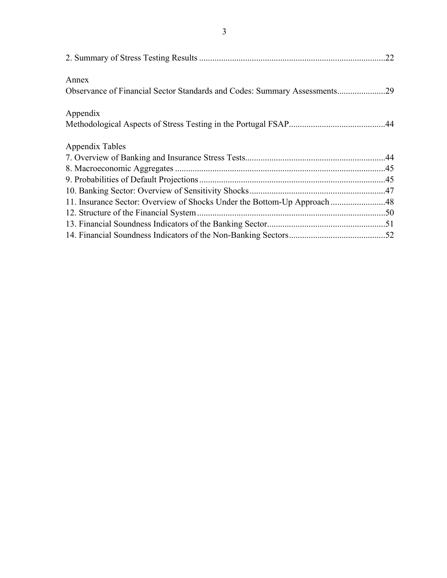|                                                                           | .22 |
|---------------------------------------------------------------------------|-----|
| Annex                                                                     |     |
| Observance of Financial Sector Standards and Codes: Summary Assessments29 |     |
| Appendix                                                                  |     |
|                                                                           |     |
| Appendix Tables                                                           |     |
|                                                                           |     |
|                                                                           |     |
|                                                                           |     |
|                                                                           |     |
| 11. Insurance Sector: Overview of Shocks Under the Bottom-Up Approach 48  |     |
|                                                                           |     |
|                                                                           |     |
|                                                                           |     |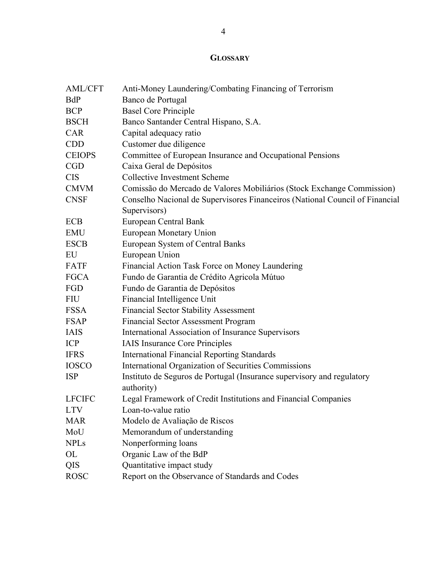## **GLOSSARY**

| <b>AML/CFT</b> | Anti-Money Laundering/Combating Financing of Terrorism                               |
|----------------|--------------------------------------------------------------------------------------|
| <b>BdP</b>     | Banco de Portugal                                                                    |
| <b>BCP</b>     | <b>Basel Core Principle</b>                                                          |
| <b>BSCH</b>    | Banco Santander Central Hispano, S.A.                                                |
| <b>CAR</b>     | Capital adequacy ratio                                                               |
| <b>CDD</b>     | Customer due diligence                                                               |
| <b>CEIOPS</b>  | Committee of European Insurance and Occupational Pensions                            |
| <b>CGD</b>     | Caixa Geral de Depósitos                                                             |
| <b>CIS</b>     | <b>Collective Investment Scheme</b>                                                  |
| <b>CMVM</b>    | Comissão do Mercado de Valores Mobiliários (Stock Exchange Commission)               |
| <b>CNSF</b>    | Conselho Nacional de Supervisores Financeiros (National Council of Financial         |
|                | Supervisors)                                                                         |
| <b>ECB</b>     | European Central Bank                                                                |
| <b>EMU</b>     | European Monetary Union                                                              |
| <b>ESCB</b>    | European System of Central Banks                                                     |
| EU             | European Union                                                                       |
| <b>FATF</b>    | Financial Action Task Force on Money Laundering                                      |
| <b>FGCA</b>    | Fundo de Garantia de Crédito Agricola Mútuo                                          |
| FGD            | Fundo de Garantia de Depósitos                                                       |
| <b>FIU</b>     | Financial Intelligence Unit                                                          |
| <b>FSSA</b>    | <b>Financial Sector Stability Assessment</b>                                         |
| <b>FSAP</b>    | <b>Financial Sector Assessment Program</b>                                           |
| <b>IAIS</b>    | International Association of Insurance Supervisors                                   |
| <b>ICP</b>     | <b>IAIS</b> Insurance Core Principles                                                |
| <b>IFRS</b>    | <b>International Financial Reporting Standards</b>                                   |
| <b>IOSCO</b>   | International Organization of Securities Commissions                                 |
| <b>ISP</b>     | Instituto de Seguros de Portugal (Insurance supervisory and regulatory<br>authority) |
| <b>LFCIFC</b>  | Legal Framework of Credit Institutions and Financial Companies                       |
| <b>LTV</b>     | Loan-to-value ratio                                                                  |
| <b>MAR</b>     | Modelo de Avaliação de Riscos                                                        |
| MoU            | Memorandum of understanding                                                          |
| <b>NPLs</b>    | Nonperforming loans                                                                  |
| OL             | Organic Law of the BdP                                                               |
| QIS            | Quantitative impact study                                                            |
| <b>ROSC</b>    | Report on the Observance of Standards and Codes                                      |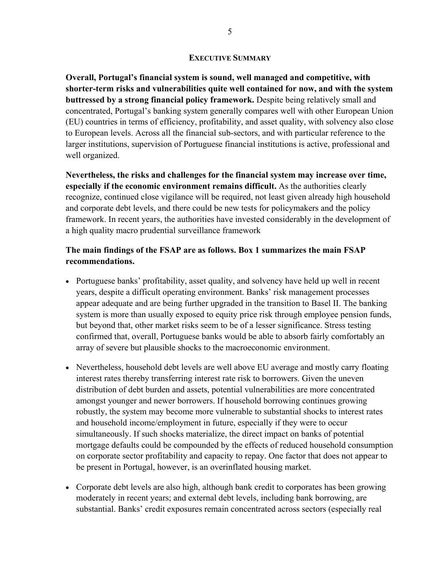#### **EXECUTIVE SUMMARY**

**Overall, Portugal's financial system is sound, well managed and competitive, with shorter-term risks and vulnerabilities quite well contained for now, and with the system buttressed by a strong financial policy framework.** Despite being relatively small and concentrated, Portugal's banking system generally compares well with other European Union (EU) countries in terms of efficiency, profitability, and asset quality, with solvency also close to European levels. Across all the financial sub-sectors, and with particular reference to the larger institutions, supervision of Portuguese financial institutions is active, professional and well organized.

**Nevertheless, the risks and challenges for the financial system may increase over time, especially if the economic environment remains difficult.** As the authorities clearly recognize, continued close vigilance will be required, not least given already high household and corporate debt levels, and there could be new tests for policymakers and the policy framework. In recent years, the authorities have invested considerably in the development of a high quality macro prudential surveillance framework

## **The main findings of the FSAP are as follows. Box 1 summarizes the main FSAP recommendations.**

- Portuguese banks' profitability, asset quality, and solvency have held up well in recent years, despite a difficult operating environment. Banks' risk management processes appear adequate and are being further upgraded in the transition to Basel II. The banking system is more than usually exposed to equity price risk through employee pension funds, but beyond that, other market risks seem to be of a lesser significance. Stress testing confirmed that, overall, Portuguese banks would be able to absorb fairly comfortably an array of severe but plausible shocks to the macroeconomic environment.
- Nevertheless, household debt levels are well above EU average and mostly carry floating interest rates thereby transferring interest rate risk to borrowers. Given the uneven distribution of debt burden and assets, potential vulnerabilities are more concentrated amongst younger and newer borrowers. If household borrowing continues growing robustly, the system may become more vulnerable to substantial shocks to interest rates and household income/employment in future, especially if they were to occur simultaneously. If such shocks materialize, the direct impact on banks of potential mortgage defaults could be compounded by the effects of reduced household consumption on corporate sector profitability and capacity to repay. One factor that does not appear to be present in Portugal, however, is an overinflated housing market.
- Corporate debt levels are also high, although bank credit to corporates has been growing moderately in recent years; and external debt levels, including bank borrowing, are substantial. Banks' credit exposures remain concentrated across sectors (especially real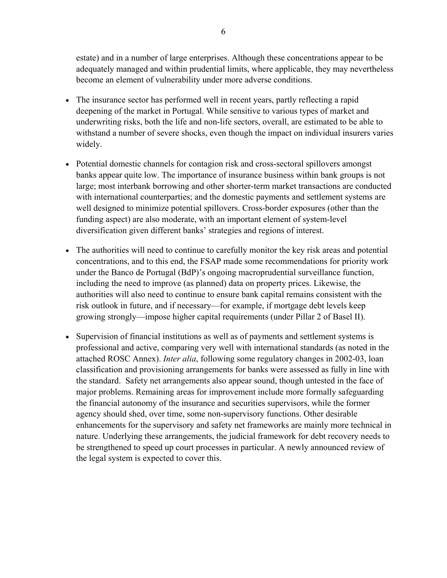estate) and in a number of large enterprises. Although these concentrations appear to be adequately managed and within prudential limits, where applicable, they may nevertheless become an element of vulnerability under more adverse conditions.

- The insurance sector has performed well in recent years, partly reflecting a rapid deepening of the market in Portugal. While sensitive to various types of market and underwriting risks, both the life and non-life sectors, overall, are estimated to be able to withstand a number of severe shocks, even though the impact on individual insurers varies widely.
- Potential domestic channels for contagion risk and cross-sectoral spillovers amongst banks appear quite low. The importance of insurance business within bank groups is not large; most interbank borrowing and other shorter-term market transactions are conducted with international counterparties; and the domestic payments and settlement systems are well designed to minimize potential spillovers. Cross-border exposures (other than the funding aspect) are also moderate, with an important element of system-level diversification given different banks' strategies and regions of interest.
- The authorities will need to continue to carefully monitor the key risk areas and potential concentrations, and to this end, the FSAP made some recommendations for priority work under the Banco de Portugal (BdP)'s ongoing macroprudential surveillance function, including the need to improve (as planned) data on property prices. Likewise, the authorities will also need to continue to ensure bank capital remains consistent with the risk outlook in future, and if necessary—for example, if mortgage debt levels keep growing strongly—impose higher capital requirements (under Pillar 2 of Basel II).
- Supervision of financial institutions as well as of payments and settlement systems is professional and active, comparing very well with international standards (as noted in the attached ROSC Annex). *Inter alia*, following some regulatory changes in 2002-03, loan classification and provisioning arrangements for banks were assessed as fully in line with the standard. Safety net arrangements also appear sound, though untested in the face of major problems. Remaining areas for improvement include more formally safeguarding the financial autonomy of the insurance and securities supervisors, while the former agency should shed, over time, some non-supervisory functions. Other desirable enhancements for the supervisory and safety net frameworks are mainly more technical in nature. Underlying these arrangements, the judicial framework for debt recovery needs to be strengthened to speed up court processes in particular. A newly announced review of the legal system is expected to cover this.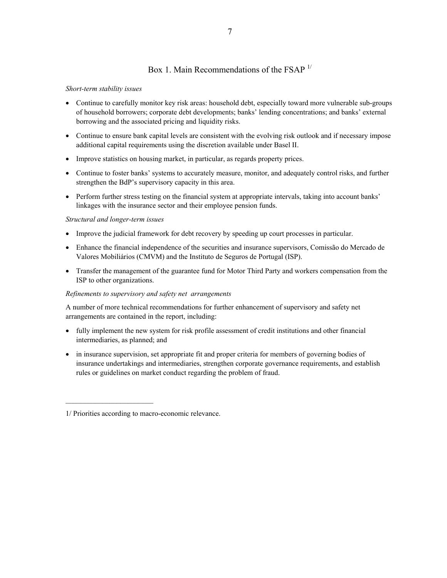### Box 1. Main Recommendations of the FSAP  $1/$

#### *Short-term stability issues*

- Continue to carefully monitor key risk areas: household debt, especially toward more vulnerable sub-groups of household borrowers; corporate debt developments; banks' lending concentrations; and banks' external borrowing and the associated pricing and liquidity risks.
- Continue to ensure bank capital levels are consistent with the evolving risk outlook and if necessary impose additional capital requirements using the discretion available under Basel II.
- Improve statistics on housing market, in particular, as regards property prices.
- Continue to foster banks' systems to accurately measure, monitor, and adequately control risks, and further strengthen the BdP's supervisory capacity in this area.
- Perform further stress testing on the financial system at appropriate intervals, taking into account banks' linkages with the insurance sector and their employee pension funds.

#### *Structural and longer-term issues*

- Improve the judicial framework for debt recovery by speeding up court processes in particular.
- Enhance the financial independence of the securities and insurance supervisors, Comissão do Mercado de Valores Mobiliários (CMVM) and the Instituto de Seguros de Portugal (ISP).
- Transfer the management of the guarantee fund for Motor Third Party and workers compensation from the ISP to other organizations.

#### *Refinements to supervisory and safety net arrangements*

A number of more technical recommendations for further enhancement of supervisory and safety net arrangements are contained in the report, including:

- fully implement the new system for risk profile assessment of credit institutions and other financial intermediaries, as planned; and
- in insurance supervision, set appropriate fit and proper criteria for members of governing bodies of insurance undertakings and intermediaries, strengthen corporate governance requirements, and establish rules or guidelines on market conduct regarding the problem of fraud.

<sup>1/</sup> Priorities according to macro-economic relevance.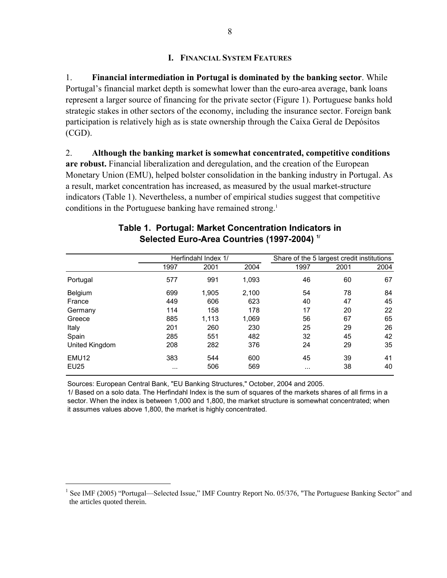#### **I. FINANCIAL SYSTEM FEATURES**

1. **Financial intermediation in Portugal is dominated by the banking sector**. While Portugal's financial market depth is somewhat lower than the euro-area average, bank loans represent a larger source of financing for the private sector (Figure 1). Portuguese banks hold strategic stakes in other sectors of the economy, including the insurance sector. Foreign bank participation is relatively high as is state ownership through the Caixa Geral de Depósitos (CGD).

2. **Although the banking market is somewhat concentrated, competitive conditions are robust.** Financial liberalization and deregulation, and the creation of the European Monetary Union (EMU), helped bolster consolidation in the banking industry in Portugal. As a result, market concentration has increased, as measured by the usual market-structure indicators (Table 1). Nevertheless, a number of empirical studies suggest that competitive conditions in the Portuguese banking have remained strong.<sup>1</sup>

|                   | Herfindahl Index 1/ |       |       | Share of the 5 largest credit institutions |      |      |
|-------------------|---------------------|-------|-------|--------------------------------------------|------|------|
|                   | 1997                | 2001  | 2004  | 1997                                       | 2001 | 2004 |
| Portugal          | 577                 | 991   | 1.093 | 46                                         | 60   | 67   |
| Belgium           | 699                 | 1,905 | 2.100 | 54                                         | 78   | 84   |
| France            | 449                 | 606   | 623   | 40                                         | 47   | 45   |
| Germany           | 114                 | 158   | 178   | 17                                         | 20   | 22   |
| Greece            | 885                 | 1,113 | 1,069 | 56                                         | 67   | 65   |
| Italy             | 201                 | 260   | 230   | 25                                         | 29   | 26   |
| Spain             | 285                 | 551   | 482   | 32                                         | 45   | 42   |
| United Kingdom    | 208                 | 282   | 376   | 24                                         | 29   | 35   |
| EMU <sub>12</sub> | 383                 | 544   | 600   | 45                                         | 39   | 41   |
| <b>EU25</b>       | $\cdots$            | 506   | 569   | $\cdots$                                   | 38   | 40   |

#### **Table 1. Portugal: Market Concentration Indicators in Selected Euro-Area Countries (1997-2004) 1/**

Sources: European Central Bank, "EU Banking Structures," October, 2004 and 2005.

 $\overline{a}$ 

1/ Based on a solo data. The Herfindahl Index is the sum of squares of the markets shares of all firms in a sector. When the index is between 1,000 and 1,800, the market structure is somewhat concentrated; when it assumes values above 1,800, the market is highly concentrated.

<sup>&</sup>lt;sup>1</sup> See IMF (2005) "Portugal—Selected Issue," IMF Country Report No. 05/376, "The Portuguese Banking Sector" and the articles quoted therein.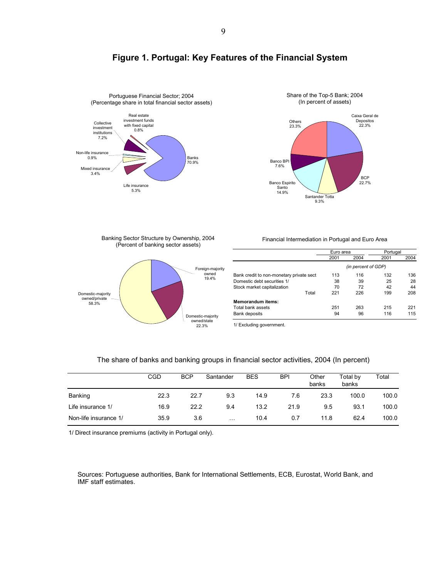



## **Figure 1. Portugal: Key Features of the Financial System**

Banking Sector Structure by Ownership, 2004 (Percent of banking sector assets)



Financial Intermediation in Portugal and Euro Area

|                                          | Euro area |                     | Portugal |      |
|------------------------------------------|-----------|---------------------|----------|------|
|                                          | 2001      | 2004                | 2001     | 2004 |
|                                          |           | (in percent of GDP) |          |      |
| Bank credit to non-monetary private sect | 113       | 116                 | 132      | 136  |
| Domestic debt securities 1/              | 38        | 39                  | 25       | 28   |
| Stock market capitalization              | 70        | 72                  | 42       | 44   |
| Total                                    | 221       | 226                 | 199      | 208  |
| <b>Memorandum items:</b>                 |           |                     |          |      |
| Total bank assets                        | 251       | 263                 | 215      | 221  |
| Bank deposits                            | 94        | 96                  | 116      | 115  |

1/ Excluding government.

#### The share of banks and banking groups in financial sector activities, 2004 (In percent)

|                       | <b>CGD</b> | <b>BCP</b> | Santander | <b>BES</b> | <b>BPI</b> | Other<br>banks | Total by<br>banks | Total |
|-----------------------|------------|------------|-----------|------------|------------|----------------|-------------------|-------|
| Banking               | 22.3       | 22.7       | 9.3       | 14.9       | 7.6        | 23.3           | 100.0             | 100.0 |
| Life insurance 1/     | 16.9       | 22.2       | 9.4       | 13.2       | 21.9       | 9.5            | 93.1              | 100.0 |
| Non-life insurance 1/ | 35.9       | 3.6        | $\cdots$  | 10.4       | 0.7        | 11.8           | 62.4              | 100.0 |

1/ Direct insurance premiums (activity in Portugal only).

Sources: Portuguese authorities, Bank for International Settlements, ECB, Eurostat, World Bank, and IMF staff estimates.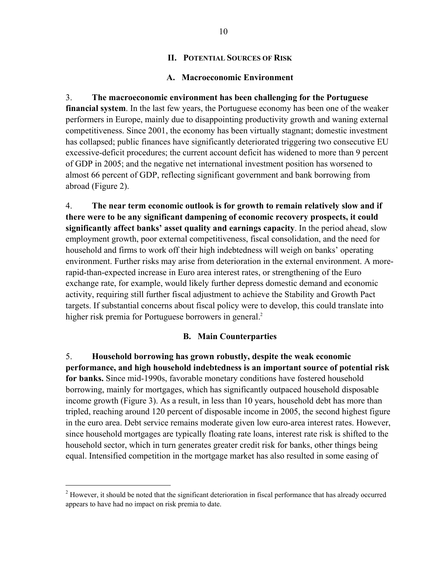#### **II. POTENTIAL SOURCES OF RISK**

#### **A. Macroeconomic Environment**

3. **The macroeconomic environment has been challenging for the Portuguese financial system**. In the last few years, the Portuguese economy has been one of the weaker performers in Europe, mainly due to disappointing productivity growth and waning external competitiveness. Since 2001, the economy has been virtually stagnant; domestic investment has collapsed; public finances have significantly deteriorated triggering two consecutive EU excessive-deficit procedures; the current account deficit has widened to more than 9 percent of GDP in 2005; and the negative net international investment position has worsened to almost 66 percent of GDP, reflecting significant government and bank borrowing from abroad (Figure 2).

4. **The near term economic outlook is for growth to remain relatively slow and if there were to be any significant dampening of economic recovery prospects, it could significantly affect banks' asset quality and earnings capacity**. In the period ahead, slow employment growth, poor external competitiveness, fiscal consolidation, and the need for household and firms to work off their high indebtedness will weigh on banks' operating environment. Further risks may arise from deterioration in the external environment. A morerapid-than-expected increase in Euro area interest rates, or strengthening of the Euro exchange rate, for example, would likely further depress domestic demand and economic activity, requiring still further fiscal adjustment to achieve the Stability and Growth Pact targets. If substantial concerns about fiscal policy were to develop, this could translate into higher risk premia for Portuguese borrowers in general.<sup>2</sup>

### **B. Main Counterparties**

5. **Household borrowing has grown robustly, despite the weak economic performance, and high household indebtedness is an important source of potential risk for banks.** Since mid-1990s, favorable monetary conditions have fostered household borrowing, mainly for mortgages, which has significantly outpaced household disposable income growth (Figure 3). As a result, in less than 10 years, household debt has more than tripled, reaching around 120 percent of disposable income in 2005, the second highest figure in the euro area. Debt service remains moderate given low euro-area interest rates. However, since household mortgages are typically floating rate loans, interest rate risk is shifted to the household sector, which in turn generates greater credit risk for banks, other things being equal. Intensified competition in the mortgage market has also resulted in some easing of

 $\overline{a}$ 

 $2$  However, it should be noted that the significant deterioration in fiscal performance that has already occurred appears to have had no impact on risk premia to date.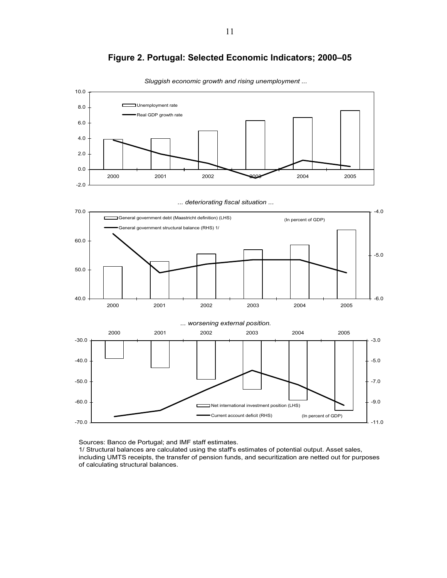

**Figure 2. Portugal: Selected Economic Indicators; 2000–05** 

*Sluggish economic growth and rising unemployment ...*

Sources: Banco de Portugal; and IMF staff estimates.

1/ Structural balances are calculated using the staff's estimates of potential output. Asset sales, including UMTS receipts, the transfer of pension funds, and securitization are netted out for purposes of calculating structural balances.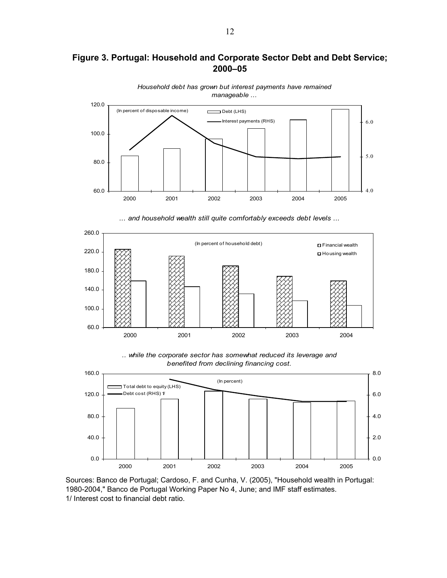## **Figure 3. Portugal: Household and Corporate Sector Debt and Debt Service; 2000–05**



*Household debt has grown but interest payments have remained manageable ...* 

*... and household wealth still quite comfortably exceeds debt levels ...* 



*.. while the corporate sector has somewhat reduced its leverage and benefited from declining financing cost.*



Sources: Banco de Portugal; Cardoso, F. and Cunha, V. (2005), "Household wealth in Portugal: 1980-2004," Banco de Portugal Working Paper No 4, June; and IMF staff estimates. 1/ Interest cost to financial debt ratio.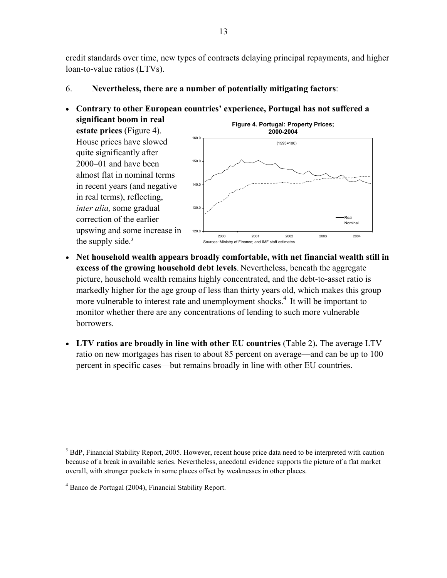credit standards over time, new types of contracts delaying principal repayments, and higher loan-to-value ratios (LTVs).

- 6. **Nevertheless, there are a number of potentially mitigating factors**:
- **Contrary to other European countries' experience, Portugal has not suffered a significant boom in real estate prices** (Figure 4). House prices have slowed quite significantly after 2000–01 and have been almost flat in nominal terms in recent years (and negative in real terms), reflecting, *inter alia,* some gradual correction of the earlier upswing and some increase in the supply side. $3$ **Figure 4. Portugal: Property Prices; 2000-2004** 120.0 130.0 140.0 150.0 160.0 2000 2001 2002 2003 2004 Real  $---$ Nominal (1993=100) Sources: Ministry of Finance; and IMF staff estimates.
- **Net household wealth appears broadly comfortable, with net financial wealth still in excess of the growing household debt levels**. Nevertheless, beneath the aggregate picture, household wealth remains highly concentrated, and the debt-to-asset ratio is markedly higher for the age group of less than thirty years old, which makes this group more vulnerable to interest rate and unemployment shocks.<sup>4</sup> It will be important to monitor whether there are any concentrations of lending to such more vulnerable borrowers.
- **LTV ratios are broadly in line with other EU countries** (Table 2)**.** The average LTV ratio on new mortgages has risen to about 85 percent on average—and can be up to 100 percent in specific cases—but remains broadly in line with other EU countries.

 $\overline{a}$ 

<sup>&</sup>lt;sup>3</sup> BdP, Financial Stability Report, 2005. However, recent house price data need to be interpreted with caution because of a break in available series. Nevertheless, anecdotal evidence supports the picture of a flat market overall, with stronger pockets in some places offset by weaknesses in other places.

<sup>4</sup> Banco de Portugal (2004), Financial Stability Report.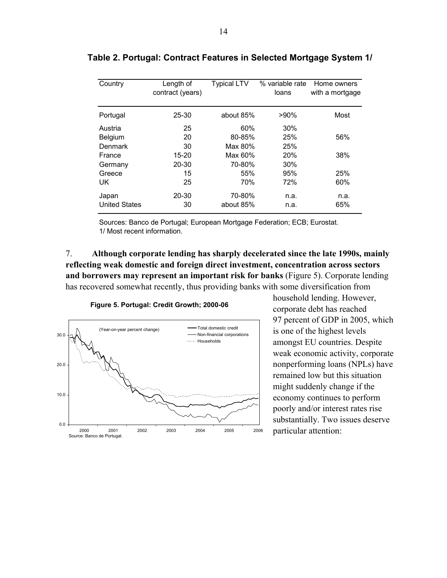| Country              | Length of<br>contract (years) | <b>Typical LTV</b> | % variable rate<br>loans | Home owners<br>with a mortgage |
|----------------------|-------------------------------|--------------------|--------------------------|--------------------------------|
| Portugal             | 25-30                         | about 85%          | $>90\%$                  | Most                           |
| Austria              | 25                            | 60%                | 30%                      |                                |
| Belgium              | 20                            | 80-85%             | 25%                      | 56%                            |
| Denmark              | 30                            | Max 80%            | 25%                      |                                |
| France               | $15 - 20$                     | Max 60%            | <b>20%</b>               | 38%                            |
| Germany              | $20 - 30$                     | 70-80%             | 30%                      |                                |
| Greece               | 15                            | 55%                | 95%                      | 25%                            |
| UK                   | 25                            | 70%                | 72%                      | 60%                            |
| Japan                | 20-30                         | 70-80%             | n.a.                     | n.a.                           |
| <b>United States</b> | 30                            | about 85%          | n.a.                     | 65%                            |

### **Table 2. Portugal: Contract Features in Selected Mortgage System 1/**

Sources: Banco de Portugal; European Mortgage Federation; ECB; Eurostat. 1/ Most recent information.

7. **Although corporate lending has sharply decelerated since the late 1990s, mainly reflecting weak domestic and foreign direct investment, concentration across sectors and borrowers may represent an important risk for banks** (Figure 5). Corporate lending has recovered somewhat recently, thus providing banks with some diversification from

#### **Figure 5. Portugal: Credit Growth; 2000-06**



household lending. However, corporate debt has reached 97 percent of GDP in 2005, which is one of the highest levels amongst EU countries. Despite weak economic activity, corporate nonperforming loans (NPLs) have remained low but this situation might suddenly change if the economy continues to perform poorly and/or interest rates rise substantially. Two issues deserve particular attention: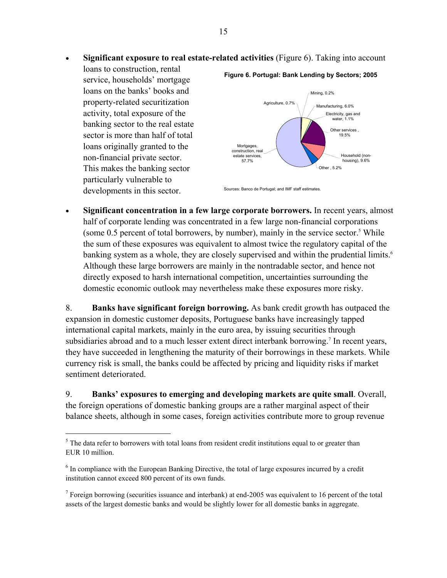• **Significant exposure to real estate-related activities** (Figure 6). Taking into account

loans to construction, rental service, households' mortgage loans on the banks' books and property-related securitization activity, total exposure of the banking sector to the real estate sector is more than half of total loans originally granted to the non-financial private sector. This makes the banking sector particularly vulnerable to developments in this sector.

<u>.</u>

#### **Figure 6. Portugal: Bank Lending by Sectors; 2005**



Sources: Banco de Portugal; and IMF staff estimates.

• **Significant concentration in a few large corporate borrowers.** In recent years, almost half of corporate lending was concentrated in a few large non-financial corporations (some  $0.5$  percent of total borrowers, by number), mainly in the service sector.<sup>5</sup> While the sum of these exposures was equivalent to almost twice the regulatory capital of the banking system as a whole, they are closely supervised and within the prudential limits.<sup>6</sup> Although these large borrowers are mainly in the nontradable sector, and hence not directly exposed to harsh international competition, uncertainties surrounding the domestic economic outlook may nevertheless make these exposures more risky.

8. **Banks have significant foreign borrowing.** As bank credit growth has outpaced the expansion in domestic customer deposits, Portuguese banks have increasingly tapped international capital markets, mainly in the euro area, by issuing securities through subsidiaries abroad and to a much lesser extent direct interbank borrowing.<sup>7</sup> In recent years, they have succeeded in lengthening the maturity of their borrowings in these markets. While currency risk is small, the banks could be affected by pricing and liquidity risks if market sentiment deteriorated.

9. **Banks' exposures to emerging and developing markets are quite small**. Overall, the foreign operations of domestic banking groups are a rather marginal aspect of their balance sheets, although in some cases, foreign activities contribute more to group revenue

 $<sup>5</sup>$  The data refer to borrowers with total loans from resident credit institutions equal to or greater than</sup> EUR 10 million.

<sup>&</sup>lt;sup>6</sup> In compliance with the European Banking Directive, the total of large exposures incurred by a credit institution cannot exceed 800 percent of its own funds.

<sup>&</sup>lt;sup>7</sup> Foreign borrowing (securities issuance and interbank) at end-2005 was equivalent to 16 percent of the total assets of the largest domestic banks and would be slightly lower for all domestic banks in aggregate.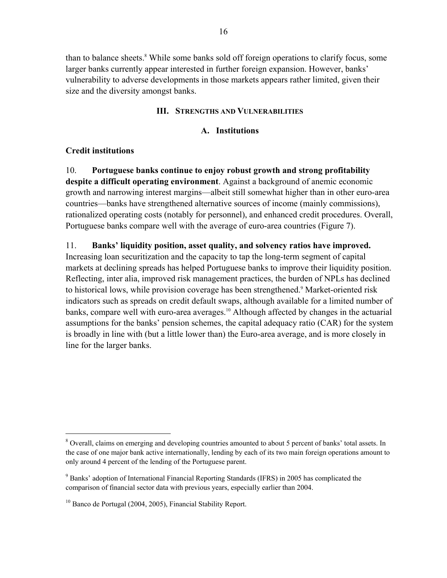than to balance sheets.<sup>8</sup> While some banks sold off foreign operations to clarify focus, some larger banks currently appear interested in further foreign expansion. However, banks' vulnerability to adverse developments in those markets appears rather limited, given their size and the diversity amongst banks.

#### **III. STRENGTHS AND VULNERABILITIES**

#### **A. Institutions**

### **Credit institutions**

 $\overline{a}$ 

10. **Portuguese banks continue to enjoy robust growth and strong profitability despite a difficult operating environment**. Against a background of anemic economic growth and narrowing interest margins—albeit still somewhat higher than in other euro-area countries—banks have strengthened alternative sources of income (mainly commissions), rationalized operating costs (notably for personnel), and enhanced credit procedures. Overall, Portuguese banks compare well with the average of euro-area countries (Figure 7).

#### 11. **Banks' liquidity position, asset quality, and solvency ratios have improved.**

Increasing loan securitization and the capacity to tap the long-term segment of capital markets at declining spreads has helped Portuguese banks to improve their liquidity position. Reflecting, inter alia, improved risk management practices, the burden of NPLs has declined to historical lows, while provision coverage has been strengthened.<sup>9</sup> Market-oriented risk indicators such as spreads on credit default swaps, although available for a limited number of banks, compare well with euro-area averages.<sup>10</sup> Although affected by changes in the actuarial assumptions for the banks' pension schemes, the capital adequacy ratio (CAR) for the system is broadly in line with (but a little lower than) the Euro-area average, and is more closely in line for the larger banks.

<sup>&</sup>lt;sup>8</sup> Overall, claims on emerging and developing countries amounted to about 5 percent of banks' total assets. In the case of one major bank active internationally, lending by each of its two main foreign operations amount to only around 4 percent of the lending of the Portuguese parent.

<sup>&</sup>lt;sup>9</sup> Banks' adoption of International Financial Reporting Standards (IFRS) in 2005 has complicated the comparison of financial sector data with previous years, especially earlier than 2004.

<sup>&</sup>lt;sup>10</sup> Banco de Portugal (2004, 2005), Financial Stability Report.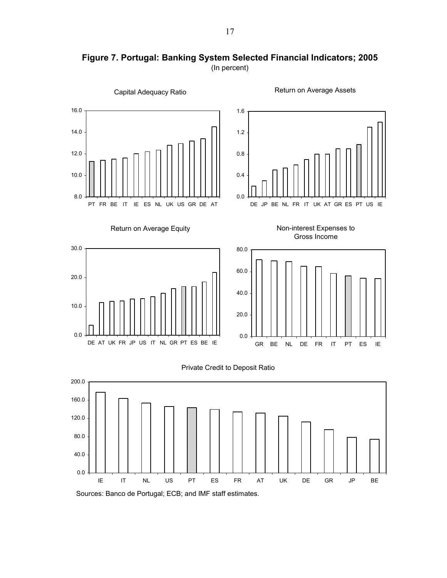

**Figure 7. Portugal: Banking System Selected Financial Indicators; 2005**  (In percent)

Sources: Banco de Portugal; ECB; and IMF staff estimates.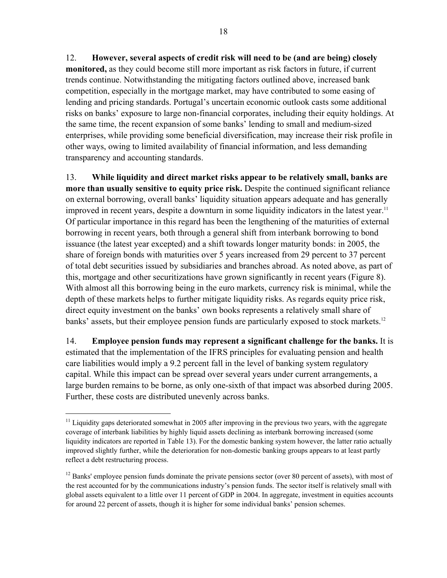12. **However, several aspects of credit risk will need to be (and are being) closely monitored,** as they could become still more important as risk factors in future, if current trends continue. Notwithstanding the mitigating factors outlined above, increased bank competition, especially in the mortgage market, may have contributed to some easing of lending and pricing standards. Portugal's uncertain economic outlook casts some additional risks on banks' exposure to large non-financial corporates, including their equity holdings. At the same time, the recent expansion of some banks' lending to small and medium-sized enterprises, while providing some beneficial diversification, may increase their risk profile in other ways, owing to limited availability of financial information, and less demanding transparency and accounting standards.

13. **While liquidity and direct market risks appear to be relatively small, banks are more than usually sensitive to equity price risk.** Despite the continued significant reliance on external borrowing, overall banks' liquidity situation appears adequate and has generally improved in recent years, despite a downturn in some liquidity indicators in the latest year.<sup>11</sup> Of particular importance in this regard has been the lengthening of the maturities of external borrowing in recent years, both through a general shift from interbank borrowing to bond issuance (the latest year excepted) and a shift towards longer maturity bonds: in 2005, the share of foreign bonds with maturities over 5 years increased from 29 percent to 37 percent of total debt securities issued by subsidiaries and branches abroad. As noted above, as part of this, mortgage and other securitizations have grown significantly in recent years (Figure 8). With almost all this borrowing being in the euro markets, currency risk is minimal, while the depth of these markets helps to further mitigate liquidity risks. As regards equity price risk, direct equity investment on the banks' own books represents a relatively small share of banks' assets, but their employee pension funds are particularly exposed to stock markets.<sup>12</sup>

14. **Employee pension funds may represent a significant challenge for the banks.** It is estimated that the implementation of the IFRS principles for evaluating pension and health care liabilities would imply a 9.2 percent fall in the level of banking system regulatory capital. While this impact can be spread over several years under current arrangements, a large burden remains to be borne, as only one-sixth of that impact was absorbed during 2005. Further, these costs are distributed unevenly across banks.

1

 $11$  Liquidity gaps deteriorated somewhat in 2005 after improving in the previous two years, with the aggregate coverage of interbank liabilities by highly liquid assets declining as interbank borrowing increased (some liquidity indicators are reported in Table 13). For the domestic banking system however, the latter ratio actually improved slightly further, while the deterioration for non-domestic banking groups appears to at least partly reflect a debt restructuring process.

<sup>&</sup>lt;sup>12</sup> Banks' employee pension funds dominate the private pensions sector (over 80 percent of assets), with most of the rest accounted for by the communications industry's pension funds. The sector itself is relatively small with global assets equivalent to a little over 11 percent of GDP in 2004. In aggregate, investment in equities accounts for around 22 percent of assets, though it is higher for some individual banks' pension schemes.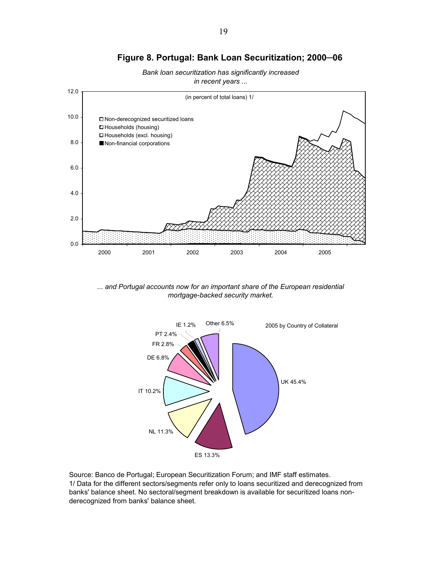## **Figure 8. Portugal: Bank Loan Securitization; 2000─06**





*... and Portugal accounts now for an important share of the European residential mortgage-backed security market.* 



Source: Banco de Portugal; European Securitization Forum; and IMF staff estimates. 1/ Data for the different sectors/segments refer only to loans securitized and derecognized from banks' balance sheet. No sectoral/segment breakdown is available for securitized loans nonderecognized from banks' balance sheet.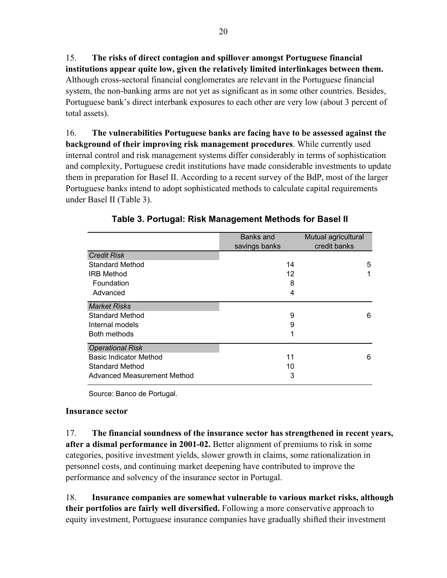15. **The risks of direct contagion and spillover amongst Portuguese financial institutions appear quite low, given the relatively limited interlinkages between them.**  Although cross-sectoral financial conglomerates are relevant in the Portuguese financial system, the non-banking arms are not yet as significant as in some other countries. Besides, Portuguese bank's direct interbank exposures to each other are very low (about 3 percent of total assets).

16. **The vulnerabilities Portuguese banks are facing have to be assessed against the background of their improving risk management procedures**. While currently used internal control and risk management systems differ considerably in terms of sophistication and complexity, Portuguese credit institutions have made considerable investments to update them in preparation for Basel II. According to a recent survey of the BdP, most of the larger Portuguese banks intend to adopt sophisticated methods to calculate capital requirements under Basel II (Table 3).

|                               | Banks and     | Mutual agricultural |
|-------------------------------|---------------|---------------------|
|                               | savings banks | credit banks        |
| <b>Credit Risk</b>            |               |                     |
| <b>Standard Method</b>        | 14            | 5                   |
| <b>IRB Method</b>             | 12            |                     |
| Foundation                    | 8             |                     |
| Advanced                      | 4             |                     |
| <b>Market Risks</b>           |               |                     |
| <b>Standard Method</b>        | 9             | 6                   |
| Internal models               | 9             |                     |
| Both methods                  |               |                     |
| <b>Operational Risk</b>       |               |                     |
| <b>Basic Indicator Method</b> | 11            | 6                   |
| <b>Standard Method</b>        | 10            |                     |
| Advanced Measurement Method   | 3             |                     |

**Table 3. Portugal: Risk Management Methods for Basel II** 

Source: Banco de Portugal.

### **Insurance sector**

17. **The financial soundness of the insurance sector has strengthened in recent years, after a dismal performance in 2001-02.** Better alignment of premiums to risk in some categories, positive investment yields, slower growth in claims, some rationalization in personnel costs, and continuing market deepening have contributed to improve the performance and solvency of the insurance sector in Portugal.

18. **Insurance companies are somewhat vulnerable to various market risks, although their portfolios are fairly well diversified.** Following a more conservative approach to equity investment, Portuguese insurance companies have gradually shifted their investment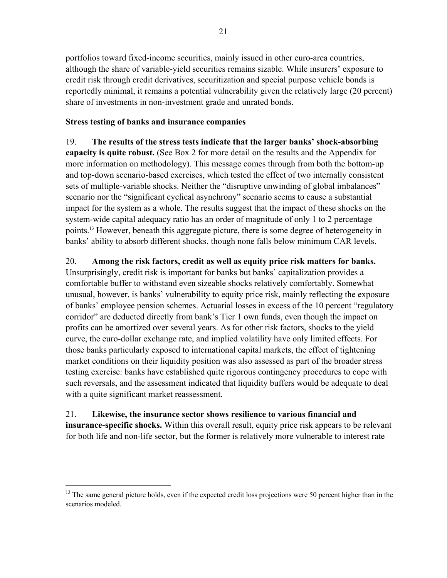portfolios toward fixed-income securities, mainly issued in other euro-area countries, although the share of variable-yield securities remains sizable. While insurers' exposure to credit risk through credit derivatives, securitization and special purpose vehicle bonds is reportedly minimal, it remains a potential vulnerability given the relatively large (20 percent) share of investments in non-investment grade and unrated bonds.

### **Stress testing of banks and insurance companies**

1

19. **The results of the stress tests indicate that the larger banks' shock-absorbing capacity is quite robust.** (See Box 2 for more detail on the results and the Appendix for more information on methodology). This message comes through from both the bottom-up and top-down scenario-based exercises, which tested the effect of two internally consistent sets of multiple-variable shocks. Neither the "disruptive unwinding of global imbalances" scenario nor the "significant cyclical asynchrony" scenario seems to cause a substantial impact for the system as a whole. The results suggest that the impact of these shocks on the system-wide capital adequacy ratio has an order of magnitude of only 1 to 2 percentage points.13 However, beneath this aggregate picture, there is some degree of heterogeneity in banks' ability to absorb different shocks, though none falls below minimum CAR levels.

## 20. **Among the risk factors, credit as well as equity price risk matters for banks.**

Unsurprisingly, credit risk is important for banks but banks' capitalization provides a comfortable buffer to withstand even sizeable shocks relatively comfortably. Somewhat unusual, however, is banks' vulnerability to equity price risk, mainly reflecting the exposure of banks' employee pension schemes. Actuarial losses in excess of the 10 percent "regulatory corridor" are deducted directly from bank's Tier 1 own funds, even though the impact on profits can be amortized over several years. As for other risk factors, shocks to the yield curve, the euro-dollar exchange rate, and implied volatility have only limited effects. For those banks particularly exposed to international capital markets, the effect of tightening market conditions on their liquidity position was also assessed as part of the broader stress testing exercise: banks have established quite rigorous contingency procedures to cope with such reversals, and the assessment indicated that liquidity buffers would be adequate to deal with a quite significant market reassessment.

# 21. **Likewise, the insurance sector shows resilience to various financial and**

**insurance-specific shocks.** Within this overall result, equity price risk appears to be relevant for both life and non-life sector, but the former is relatively more vulnerable to interest rate

 $13$  The same general picture holds, even if the expected credit loss projections were 50 percent higher than in the scenarios modeled.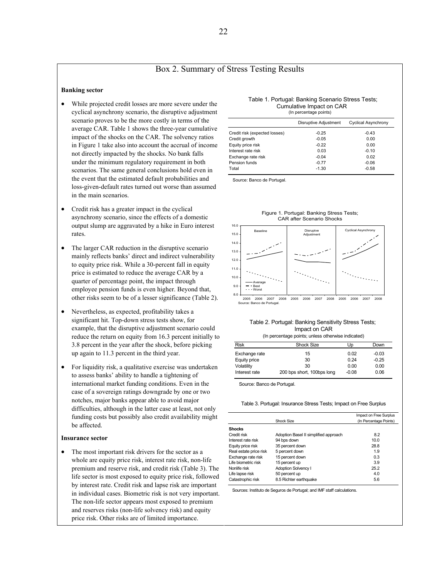#### Box 2. Summary of Stress Testing Results

#### **Banking sector**

- While projected credit losses are more severe under the cyclical asynchrony scenario, the disruptive adjustment scenario proves to be the more costly in terms of the average CAR. Table 1 shows the three-year cumulative impact of the shocks on the CAR. The solvency ratios in Figure 1 take also into account the accrual of income not directly impacted by the shocks. No bank falls under the minimum regulatory requirement in both scenarios. The same general conclusions hold even in the event that the estimated default probabilities and loss-given-default rates turned out worse than assumed in the main scenarios.
- Credit risk has a greater impact in the cyclical asynchrony scenario, since the effects of a domestic output slump are aggravated by a hike in Euro interest rates.
- The larger CAR reduction in the disruptive scenario mainly reflects banks' direct and indirect vulnerability to equity price risk. While a 30-percent fall in equity price is estimated to reduce the average CAR by a quarter of percentage point, the impact through employee pension funds is even higher. Beyond that, other risks seem to be of a lesser significance (Table 2).
- Nevertheless, as expected, profitability takes a significant hit. Top-down stress tests show, for example, that the disruptive adjustment scenario could reduce the return on equity from 16.3 percent initially to 3.8 percent in the year after the shock, before picking up again to 11.3 percent in the third year.
- For liquidity risk, a qualitative exercise was undertaken to assess banks' ability to handle a tightening of international market funding conditions. Even in the case of a sovereign ratings downgrade by one or two notches, major banks appear able to avoid major difficulties, although in the latter case at least, not only funding costs but possibly also credit availability might be affected.

#### **Insurance sector**

• The most important risk drivers for the sector as a whole are equity price risk, interest rate risk, non-life premium and reserve risk, and credit risk (Table 3). The life sector is most exposed to equity price risk, followed by interest rate. Credit risk and lapse risk are important in individual cases. Biometric risk is not very important. The non-life sector appears most exposed to premium and reserves risks (non-life solvency risk) and equity price risk. Other risks are of limited importance.

#### Table 1. Portugal: Banking Scenario Stress Tests; (In percentage points) Cumulative Impact on CAR

| Disruptive Adjustment | <b>Cyclical Asynchrony</b> |
|-----------------------|----------------------------|
| $-0.25$               | $-0.43$                    |
| $-0.05$               | 0.00                       |
| $-0.22$               | 0.00                       |
| 0.03                  | $-0.10$                    |
| $-0.04$               | 0.02                       |
| $-0.77$               | $-0.06$                    |
| $-1.30$               | $-0.58$                    |
|                       |                            |

Source: Banco de Portugal.





2005 2006 2007 2008 2005 2006 2007 2008 2005 2006 2007 2008 ce: Banco de Portuga

#### Table 2. Portugal: Banking Sensitivity Stress Tests; Impact on CAR

| (In percentage points; unless otherwise indicated) |
|----------------------------------------------------|
|                                                    |

| <b>Risk</b>   | <b>Shock Size</b>          | Up      | Down    |
|---------------|----------------------------|---------|---------|
| Exchange rate | 15                         | 0.02    | $-0.03$ |
| Equity price  | 30                         | 0.24    | $-0.25$ |
| Volatility    | 30                         | 0.00    | 0.00    |
| Interest rate | 200 bps short, 100bps long | $-0.08$ | 0.06    |

Source: Banco de Portugal.

#### Table 3. Portugal: Insurance Stress Tests; Impact on Free Surplus

|                        |                                       | Impact on Free Surplus |
|------------------------|---------------------------------------|------------------------|
|                        | <b>Shock Size</b>                     | (In Percentage Points) |
| <b>Shocks</b>          |                                       |                        |
| Credit risk            | Adoption Basel II simplified approach | 8.2                    |
| Interest rate risk     | 94 bps down                           | 10.0                   |
| Equity price risk      | 35 percent down                       | 28.8                   |
| Real estate price risk | 5 percent down                        | 1.9                    |
| Exchange rate risk     | 15 percent down                       | 0.3                    |
| Life biometric risk    | 15 percent up                         | 3.9                    |
| Nonlife risk           | <b>Adoption Solvency I</b>            | 25.2                   |
| Life lapse risk        | 50 percent up                         | 4.0                    |
| Catastrophic risk      | 8.5 Richter earthquake                | 5.6                    |
|                        |                                       |                        |

Sources: Instituto de Seguros de Portugal; and IMF staff calculations.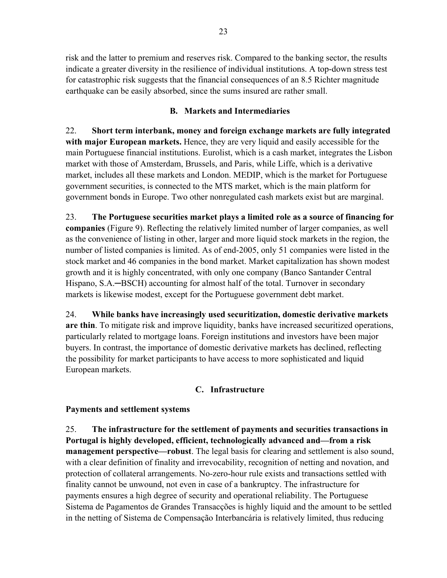risk and the latter to premium and reserves risk. Compared to the banking sector, the results indicate a greater diversity in the resilience of individual institutions. A top-down stress test for catastrophic risk suggests that the financial consequences of an 8.5 Richter magnitude earthquake can be easily absorbed, since the sums insured are rather small.

## **B. Markets and Intermediaries**

22. **Short term interbank, money and foreign exchange markets are fully integrated with major European markets.** Hence, they are very liquid and easily accessible for the main Portuguese financial institutions. Eurolist, which is a cash market, integrates the Lisbon market with those of Amsterdam, Brussels, and Paris, while Liffe, which is a derivative market, includes all these markets and London. MEDIP, which is the market for Portuguese government securities, is connected to the MTS market, which is the main platform for government bonds in Europe. Two other nonregulated cash markets exist but are marginal.

23. **The Portuguese securities market plays a limited role as a source of financing for companies** (Figure 9). Reflecting the relatively limited number of larger companies, as well as the convenience of listing in other, larger and more liquid stock markets in the region, the number of listed companies is limited. As of end-2005, only 51 companies were listed in the stock market and 46 companies in the bond market. Market capitalization has shown modest growth and it is highly concentrated, with only one company (Banco Santander Central Hispano, S.A.—BSCH) accounting for almost half of the total. Turnover in secondary markets is likewise modest, except for the Portuguese government debt market.

24. **While banks have increasingly used securitization, domestic derivative markets are thin**. To mitigate risk and improve liquidity, banks have increased securitized operations, particularly related to mortgage loans. Foreign institutions and investors have been major buyers. In contrast, the importance of domestic derivative markets has declined, reflecting the possibility for market participants to have access to more sophisticated and liquid European markets.

## **C. Infrastructure**

### **Payments and settlement systems**

25. **The infrastructure for the settlement of payments and securities transactions in Portugal is highly developed, efficient, technologically advanced and—from a risk management perspective—robust**. The legal basis for clearing and settlement is also sound, with a clear definition of finality and irrevocability, recognition of netting and novation, and protection of collateral arrangements. No-zero-hour rule exists and transactions settled with finality cannot be unwound, not even in case of a bankruptcy. The infrastructure for payments ensures a high degree of security and operational reliability. The Portuguese Sistema de Pagamentos de Grandes Transacções is highly liquid and the amount to be settled in the netting of Sistema de Compensação Interbancária is relatively limited, thus reducing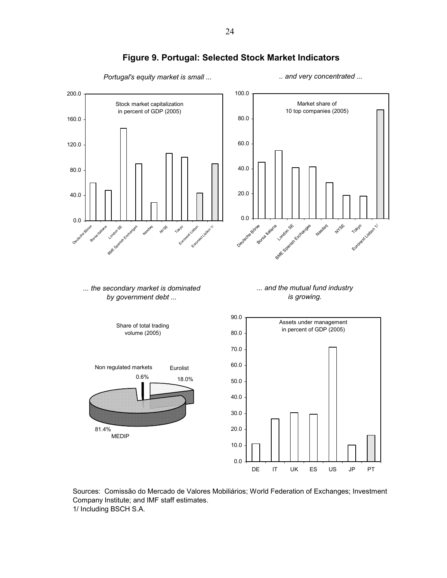

## **Figure 9. Portugal: Selected Stock Market Indicators**

Sources: Comissão do Mercado de Valores Mobiliários; World Federation of Exchanges; Investment Company Institute; and IMF staff estimates. 1/ Including BSCH S.A.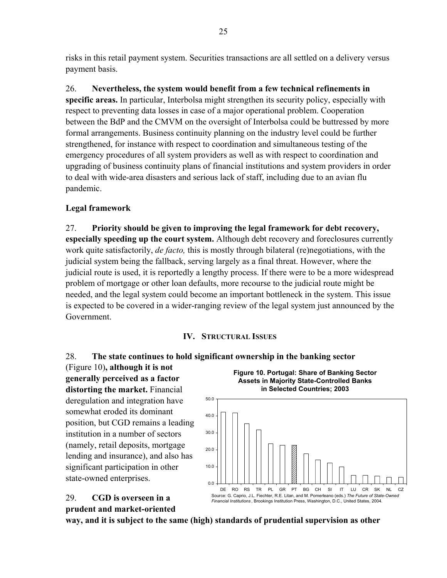risks in this retail payment system. Securities transactions are all settled on a delivery versus payment basis.

26. **Nevertheless, the system would benefit from a few technical refinements in specific areas.** In particular, Interbolsa might strengthen its security policy, especially with respect to preventing data losses in case of a major operational problem. Cooperation between the BdP and the CMVM on the oversight of Interbolsa could be buttressed by more formal arrangements. Business continuity planning on the industry level could be further strengthened, for instance with respect to coordination and simultaneous testing of the emergency procedures of all system providers as well as with respect to coordination and upgrading of business continuity plans of financial institutions and system providers in order to deal with wide-area disasters and serious lack of staff, including due to an avian flu pandemic.

## **Legal framework**

27. **Priority should be given to improving the legal framework for debt recovery, especially speeding up the court system.** Although debt recovery and foreclosures currently work quite satisfactorily, *de facto,* this is mostly through bilateral (re)negotiations, with the judicial system being the fallback, serving largely as a final threat. However, where the judicial route is used, it is reportedly a lengthy process. If there were to be a more widespread problem of mortgage or other loan defaults, more recourse to the judicial route might be needed, and the legal system could become an important bottleneck in the system. This issue is expected to be covered in a wider-ranging review of the legal system just announced by the Government.

#### **IV. STRUCTURAL ISSUES**

### 28. **The state continues to hold significant ownership in the banking sector**

(Figure 10)**, although it is not generally perceived as a factor distorting the market.** Financial deregulation and integration have somewhat eroded its dominant position, but CGD remains a leading institution in a number of sectors (namely, retail deposits, mortgage lending and insurance), and also has significant participation in other state-owned enterprises.



*Financial Institutions* , Brookings Institution Press, Washington, D.C., United States, 2004.

## 29. **CGD is overseen in a prudent and market-oriented**

**way, and it is subject to the same (high) standards of prudential supervision as other**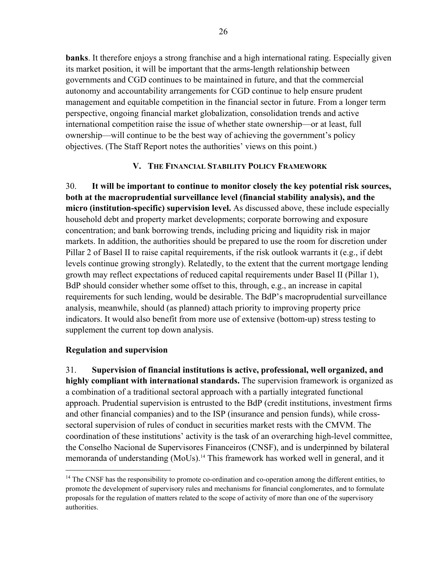**banks**. It therefore enjoys a strong franchise and a high international rating. Especially given its market position, it will be important that the arms-length relationship between governments and CGD continues to be maintained in future, and that the commercial autonomy and accountability arrangements for CGD continue to help ensure prudent management and equitable competition in the financial sector in future. From a longer term perspective, ongoing financial market globalization, consolidation trends and active international competition raise the issue of whether state ownership—or at least, full ownership—will continue to be the best way of achieving the government's policy objectives. (The Staff Report notes the authorities' views on this point.)

#### **V. THE FINANCIAL STABILITY POLICY FRAMEWORK**

30. **It will be important to continue to monitor closely the key potential risk sources, both at the macroprudential surveillance level (financial stability analysis), and the micro (institution-specific) supervision level.** As discussed above, these include especially household debt and property market developments; corporate borrowing and exposure concentration; and bank borrowing trends, including pricing and liquidity risk in major markets. In addition, the authorities should be prepared to use the room for discretion under Pillar 2 of Basel II to raise capital requirements, if the risk outlook warrants it (e.g., if debt levels continue growing strongly). Relatedly, to the extent that the current mortgage lending growth may reflect expectations of reduced capital requirements under Basel II (Pillar 1), BdP should consider whether some offset to this, through, e.g., an increase in capital requirements for such lending, would be desirable. The BdP's macroprudential surveillance analysis, meanwhile, should (as planned) attach priority to improving property price indicators. It would also benefit from more use of extensive (bottom-up) stress testing to supplement the current top down analysis.

### **Regulation and supervision**

 $\overline{a}$ 

31. **Supervision of financial institutions is active, professional, well organized, and highly compliant with international standards.** The supervision framework is organized as a combination of a traditional sectoral approach with a partially integrated functional approach. Prudential supervision is entrusted to the BdP (credit institutions, investment firms and other financial companies) and to the ISP (insurance and pension funds), while crosssectoral supervision of rules of conduct in securities market rests with the CMVM. The coordination of these institutions' activity is the task of an overarching high-level committee, the Conselho Nacional de Supervisores Financeiros (CNSF), and is underpinned by bilateral memoranda of understanding (MoUs).<sup>14</sup> This framework has worked well in general, and it

<sup>&</sup>lt;sup>14</sup> The CNSF has the responsibility to promote co-ordination and co-operation among the different entities, to promote the development of supervisory rules and mechanisms for financial conglomerates, and to formulate proposals for the regulation of matters related to the scope of activity of more than one of the supervisory authorities.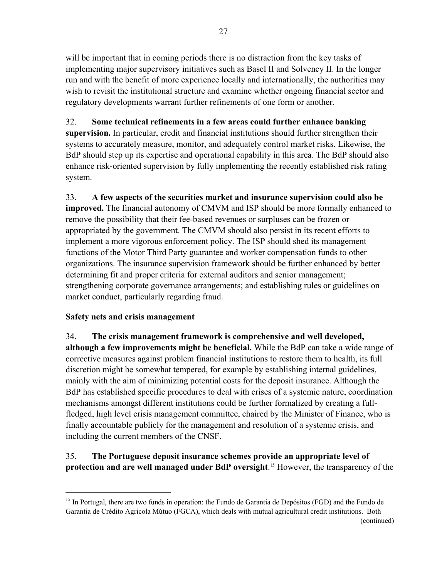will be important that in coming periods there is no distraction from the key tasks of implementing major supervisory initiatives such as Basel II and Solvency II. In the longer run and with the benefit of more experience locally and internationally, the authorities may wish to revisit the institutional structure and examine whether ongoing financial sector and regulatory developments warrant further refinements of one form or another.

## 32. **Some technical refinements in a few areas could further enhance banking**

**supervision.** In particular, credit and financial institutions should further strengthen their systems to accurately measure, monitor, and adequately control market risks. Likewise, the BdP should step up its expertise and operational capability in this area. The BdP should also enhance risk-oriented supervision by fully implementing the recently established risk rating system.

33. **A few aspects of the securities market and insurance supervision could also be improved.** The financial autonomy of CMVM and ISP should be more formally enhanced to remove the possibility that their fee-based revenues or surpluses can be frozen or appropriated by the government. The CMVM should also persist in its recent efforts to implement a more vigorous enforcement policy. The ISP should shed its management functions of the Motor Third Party guarantee and worker compensation funds to other organizations. The insurance supervision framework should be further enhanced by better determining fit and proper criteria for external auditors and senior management; strengthening corporate governance arrangements; and establishing rules or guidelines on market conduct, particularly regarding fraud.

## **Safety nets and crisis management**

 $\overline{a}$ 

## 34. **The crisis management framework is comprehensive and well developed,**

**although a few improvements might be beneficial.** While the BdP can take a wide range of corrective measures against problem financial institutions to restore them to health, its full discretion might be somewhat tempered, for example by establishing internal guidelines, mainly with the aim of minimizing potential costs for the deposit insurance. Although the BdP has established specific procedures to deal with crises of a systemic nature, coordination mechanisms amongst different institutions could be further formalized by creating a fullfledged, high level crisis management committee, chaired by the Minister of Finance, who is finally accountable publicly for the management and resolution of a systemic crisis, and including the current members of the CNSF.

## 35. **The Portuguese deposit insurance schemes provide an appropriate level of protection and are well managed under BdP oversight**. 15 However, the transparency of the

<sup>&</sup>lt;sup>15</sup> In Portugal, there are two funds in operation: the Fundo de Garantia de Depósitos (FGD) and the Fundo de Garantia de Crédito Agricola Mútuo (FGCA), which deals with mutual agricultural credit institutions. Both (continued)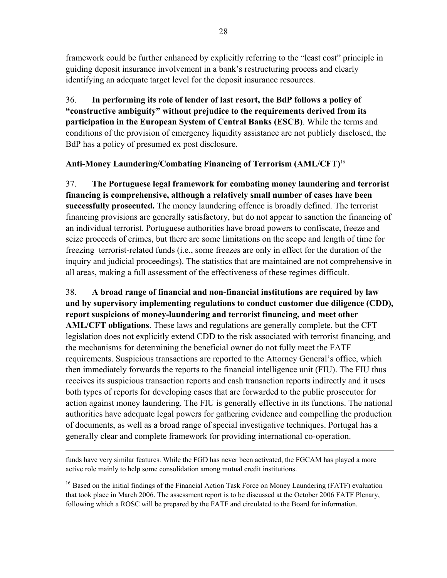framework could be further enhanced by explicitly referring to the "least cost" principle in guiding deposit insurance involvement in a bank's restructuring process and clearly identifying an adequate target level for the deposit insurance resources.

36. **In performing its role of lender of last resort, the BdP follows a policy of "constructive ambiguity" without prejudice to the requirements derived from its participation in the European System of Central Banks (ESCB)**. While the terms and conditions of the provision of emergency liquidity assistance are not publicly disclosed, the BdP has a policy of presumed ex post disclosure.

## **Anti-Money Laundering/Combating Financing of Terrorism (AML/CFT)**<sup>16</sup>

37. **The Portuguese legal framework for combating money laundering and terrorist financing is comprehensive, although a relatively small number of cases have been successfully prosecuted.** The money laundering offence is broadly defined. The terrorist financing provisions are generally satisfactory, but do not appear to sanction the financing of an individual terrorist. Portuguese authorities have broad powers to confiscate, freeze and seize proceeds of crimes, but there are some limitations on the scope and length of time for freezing terrorist-related funds (i.e., some freezes are only in effect for the duration of the inquiry and judicial proceedings). The statistics that are maintained are not comprehensive in all areas, making a full assessment of the effectiveness of these regimes difficult.

38. **A broad range of financial and non-financial institutions are required by law and by supervisory implementing regulations to conduct customer due diligence (CDD), report suspicions of money-laundering and terrorist financing, and meet other AML/CFT obligations**. These laws and regulations are generally complete, but the CFT legislation does not explicitly extend CDD to the risk associated with terrorist financing, and the mechanisms for determining the beneficial owner do not fully meet the FATF requirements. Suspicious transactions are reported to the Attorney General's office, which then immediately forwards the reports to the financial intelligence unit (FIU). The FIU thus receives its suspicious transaction reports and cash transaction reports indirectly and it uses both types of reports for developing cases that are forwarded to the public prosecutor for action against money laundering. The FIU is generally effective in its functions. The national authorities have adequate legal powers for gathering evidence and compelling the production of documents, as well as a broad range of special investigative techniques. Portugal has a generally clear and complete framework for providing international co-operation.

funds have very similar features. While the FGD has never been activated, the FGCAM has played a more active role mainly to help some consolidation among mutual credit institutions.

 $\overline{a}$ 

<sup>16</sup> Based on the initial findings of the Financial Action Task Force on Money Laundering (FATF) evaluation that took place in March 2006. The assessment report is to be discussed at the October 2006 FATF Plenary, following which a ROSC will be prepared by the FATF and circulated to the Board for information.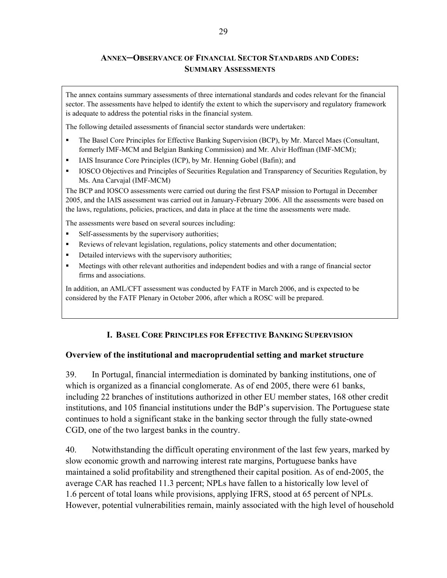## **ANNEX─OBSERVANCE OF FINANCIAL SECTOR STANDARDS AND CODES: SUMMARY ASSESSMENTS**

The annex contains summary assessments of three international standards and codes relevant for the financial sector. The assessments have helped to identify the extent to which the supervisory and regulatory framework is adequate to address the potential risks in the financial system.

The following detailed assessments of financial sector standards were undertaken:

- The Basel Core Principles for Effective Banking Supervision (BCP), by Mr. Marcel Maes (Consultant, formerly IMF-MCM and Belgian Banking Commission) and Mr. Alvir Hoffman (IMF-MCM);
- IAIS Insurance Core Principles (ICP), by Mr. Henning Gobel (Bafin); and
- IOSCO Objectives and Principles of Securities Regulation and Transparency of Securities Regulation, by Ms. Ana Carvajal (IMF-MCM)

The BCP and IOSCO assessments were carried out during the first FSAP mission to Portugal in December 2005, and the IAIS assessment was carried out in January-February 2006. All the assessments were based on the laws, regulations, policies, practices, and data in place at the time the assessments were made.

The assessments were based on several sources including:

- Self-assessments by the supervisory authorities;
- Reviews of relevant legislation, regulations, policy statements and other documentation;
- Detailed interviews with the supervisory authorities;
- Meetings with other relevant authorities and independent bodies and with a range of financial sector firms and associations.

In addition, an AML/CFT assessment was conducted by FATF in March 2006, and is expected to be considered by the FATF Plenary in October 2006, after which a ROSC will be prepared.

#### **I. BASEL CORE PRINCIPLES FOR EFFECTIVE BANKING SUPERVISION**

#### **Overview of the institutional and macroprudential setting and market structure**

39. In Portugal, financial intermediation is dominated by banking institutions, one of which is organized as a financial conglomerate. As of end 2005, there were 61 banks, including 22 branches of institutions authorized in other EU member states, 168 other credit institutions, and 105 financial institutions under the BdP's supervision. The Portuguese state continues to hold a significant stake in the banking sector through the fully state-owned CGD, one of the two largest banks in the country.

40. Notwithstanding the difficult operating environment of the last few years, marked by slow economic growth and narrowing interest rate margins, Portuguese banks have maintained a solid profitability and strengthened their capital position. As of end-2005, the average CAR has reached 11.3 percent; NPLs have fallen to a historically low level of 1.6 percent of total loans while provisions, applying IFRS, stood at 65 percent of NPLs. However, potential vulnerabilities remain, mainly associated with the high level of household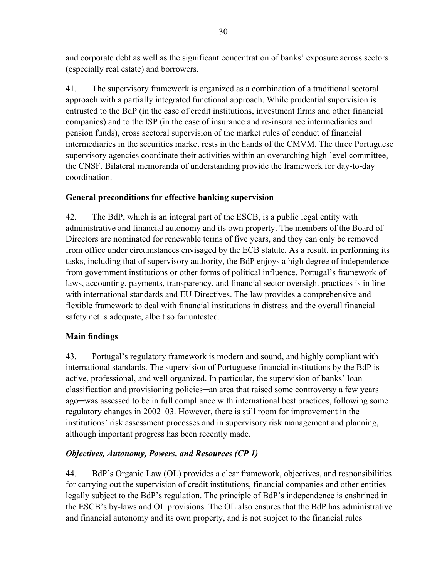and corporate debt as well as the significant concentration of banks' exposure across sectors (especially real estate) and borrowers.

41. The supervisory framework is organized as a combination of a traditional sectoral approach with a partially integrated functional approach. While prudential supervision is entrusted to the BdP (in the case of credit institutions, investment firms and other financial companies) and to the ISP (in the case of insurance and re-insurance intermediaries and pension funds), cross sectoral supervision of the market rules of conduct of financial intermediaries in the securities market rests in the hands of the CMVM. The three Portuguese supervisory agencies coordinate their activities within an overarching high-level committee, the CNSF. Bilateral memoranda of understanding provide the framework for day-to-day coordination.

## **General preconditions for effective banking supervision**

42. The BdP, which is an integral part of the ESCB, is a public legal entity with administrative and financial autonomy and its own property. The members of the Board of Directors are nominated for renewable terms of five years, and they can only be removed from office under circumstances envisaged by the ECB statute. As a result, in performing its tasks, including that of supervisory authority, the BdP enjoys a high degree of independence from government institutions or other forms of political influence. Portugal's framework of laws, accounting, payments, transparency, and financial sector oversight practices is in line with international standards and EU Directives. The law provides a comprehensive and flexible framework to deal with financial institutions in distress and the overall financial safety net is adequate, albeit so far untested.

## **Main findings**

43. Portugal's regulatory framework is modern and sound, and highly compliant with international standards. The supervision of Portuguese financial institutions by the BdP is active, professional, and well organized. In particular, the supervision of banks' loan classification and provisioning policies—an area that raised some controversy a few years ago─was assessed to be in full compliance with international best practices, following some regulatory changes in 2002–03. However, there is still room for improvement in the institutions' risk assessment processes and in supervisory risk management and planning, although important progress has been recently made.

## *Objectives, Autonomy, Powers, and Resources (CP 1)*

44. BdP's Organic Law (OL) provides a clear framework, objectives, and responsibilities for carrying out the supervision of credit institutions, financial companies and other entities legally subject to the BdP's regulation. The principle of BdP's independence is enshrined in the ESCB's by-laws and OL provisions. The OL also ensures that the BdP has administrative and financial autonomy and its own property, and is not subject to the financial rules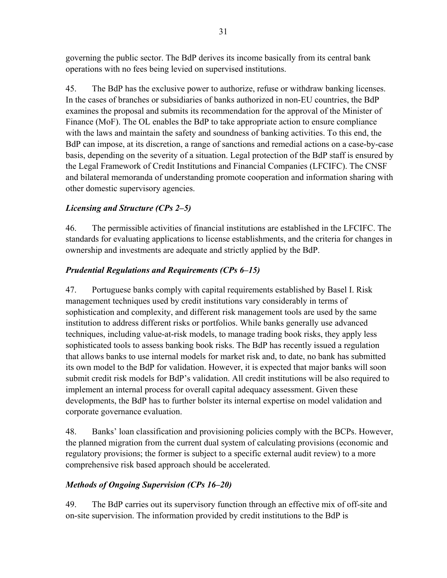governing the public sector. The BdP derives its income basically from its central bank operations with no fees being levied on supervised institutions.

45. The BdP has the exclusive power to authorize, refuse or withdraw banking licenses. In the cases of branches or subsidiaries of banks authorized in non-EU countries, the BdP examines the proposal and submits its recommendation for the approval of the Minister of Finance (MoF). The OL enables the BdP to take appropriate action to ensure compliance with the laws and maintain the safety and soundness of banking activities. To this end, the BdP can impose, at its discretion, a range of sanctions and remedial actions on a case-by-case basis, depending on the severity of a situation. Legal protection of the BdP staff is ensured by the Legal Framework of Credit Institutions and Financial Companies (LFCIFC). The CNSF and bilateral memoranda of understanding promote cooperation and information sharing with other domestic supervisory agencies.

## *Licensing and Structure (CPs 2–5)*

46. The permissible activities of financial institutions are established in the LFCIFC. The standards for evaluating applications to license establishments, and the criteria for changes in ownership and investments are adequate and strictly applied by the BdP.

## *Prudential Regulations and Requirements (CPs 6–15)*

47. Portuguese banks comply with capital requirements established by Basel I. Risk management techniques used by credit institutions vary considerably in terms of sophistication and complexity, and different risk management tools are used by the same institution to address different risks or portfolios. While banks generally use advanced techniques, including value-at-risk models, to manage trading book risks, they apply less sophisticated tools to assess banking book risks. The BdP has recently issued a regulation that allows banks to use internal models for market risk and, to date, no bank has submitted its own model to the BdP for validation. However, it is expected that major banks will soon submit credit risk models for BdP's validation. All credit institutions will be also required to implement an internal process for overall capital adequacy assessment. Given these developments, the BdP has to further bolster its internal expertise on model validation and corporate governance evaluation.

48. Banks' loan classification and provisioning policies comply with the BCPs. However, the planned migration from the current dual system of calculating provisions (economic and regulatory provisions; the former is subject to a specific external audit review) to a more comprehensive risk based approach should be accelerated.

## *Methods of Ongoing Supervision (CPs 16–20)*

49. The BdP carries out its supervisory function through an effective mix of off-site and on-site supervision. The information provided by credit institutions to the BdP is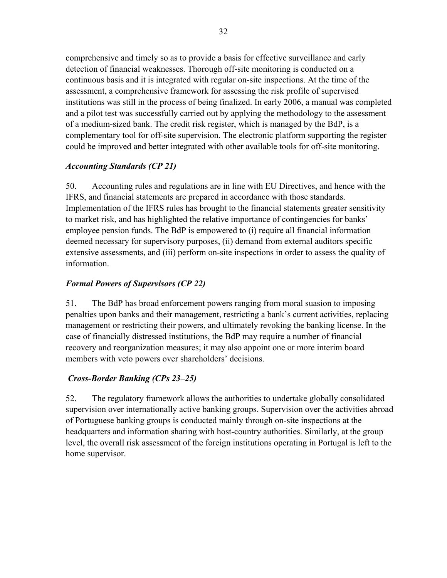comprehensive and timely so as to provide a basis for effective surveillance and early detection of financial weaknesses. Thorough off-site monitoring is conducted on a continuous basis and it is integrated with regular on-site inspections. At the time of the assessment, a comprehensive framework for assessing the risk profile of supervised institutions was still in the process of being finalized. In early 2006, a manual was completed and a pilot test was successfully carried out by applying the methodology to the assessment of a medium-sized bank. The credit risk register, which is managed by the BdP, is a complementary tool for off-site supervision. The electronic platform supporting the register could be improved and better integrated with other available tools for off-site monitoring.

## *Accounting Standards (CP 21)*

50. Accounting rules and regulations are in line with EU Directives, and hence with the IFRS, and financial statements are prepared in accordance with those standards. Implementation of the IFRS rules has brought to the financial statements greater sensitivity to market risk, and has highlighted the relative importance of contingencies for banks' employee pension funds. The BdP is empowered to (i) require all financial information deemed necessary for supervisory purposes, (ii) demand from external auditors specific extensive assessments, and (iii) perform on-site inspections in order to assess the quality of information.

## *Formal Powers of Supervisors (CP 22)*

51. The BdP has broad enforcement powers ranging from moral suasion to imposing penalties upon banks and their management, restricting a bank's current activities, replacing management or restricting their powers, and ultimately revoking the banking license. In the case of financially distressed institutions, the BdP may require a number of financial recovery and reorganization measures; it may also appoint one or more interim board members with veto powers over shareholders' decisions.

### *Cross-Border Banking (CPs 23–25)*

52. The regulatory framework allows the authorities to undertake globally consolidated supervision over internationally active banking groups. Supervision over the activities abroad of Portuguese banking groups is conducted mainly through on-site inspections at the headquarters and information sharing with host-country authorities. Similarly, at the group level, the overall risk assessment of the foreign institutions operating in Portugal is left to the home supervisor.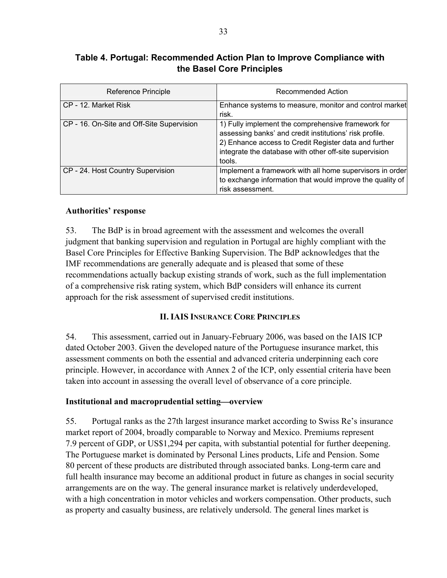## **Table 4. Portugal: Recommended Action Plan to Improve Compliance with the Basel Core Principles**

| <b>Reference Principle</b>                | Recommended Action                                                                                                                                                                                                                         |
|-------------------------------------------|--------------------------------------------------------------------------------------------------------------------------------------------------------------------------------------------------------------------------------------------|
| CP - 12. Market Risk                      | Enhance systems to measure, monitor and control market<br>risk.                                                                                                                                                                            |
| CP - 16. On-Site and Off-Site Supervision | 1) Fully implement the comprehensive framework for<br>assessing banks' and credit institutions' risk profile.<br>2) Enhance access to Credit Register data and further<br>integrate the database with other off-site supervision<br>tools. |
| CP - 24. Host Country Supervision         | Implement a framework with all home supervisors in order<br>to exchange information that would improve the quality of<br>risk assessment.                                                                                                  |

## **Authorities' response**

53. The BdP is in broad agreement with the assessment and welcomes the overall judgment that banking supervision and regulation in Portugal are highly compliant with the Basel Core Principles for Effective Banking Supervision. The BdP acknowledges that the IMF recommendations are generally adequate and is pleased that some of these recommendations actually backup existing strands of work, such as the full implementation of a comprehensive risk rating system, which BdP considers will enhance its current approach for the risk assessment of supervised credit institutions.

### **II. IAIS INSURANCE CORE PRINCIPLES**

54. This assessment, carried out in January-February 2006, was based on the IAIS ICP dated October 2003. Given the developed nature of the Portuguese insurance market, this assessment comments on both the essential and advanced criteria underpinning each core principle. However, in accordance with Annex 2 of the ICP, only essential criteria have been taken into account in assessing the overall level of observance of a core principle.

### **Institutional and macroprudential setting—overview**

55. Portugal ranks as the 27th largest insurance market according to Swiss Re's insurance market report of 2004, broadly comparable to Norway and Mexico. Premiums represent 7.9 percent of GDP, or US\$1,294 per capita, with substantial potential for further deepening. The Portuguese market is dominated by Personal Lines products, Life and Pension. Some 80 percent of these products are distributed through associated banks. Long-term care and full health insurance may become an additional product in future as changes in social security arrangements are on the way. The general insurance market is relatively underdeveloped, with a high concentration in motor vehicles and workers compensation. Other products, such as property and casualty business, are relatively undersold. The general lines market is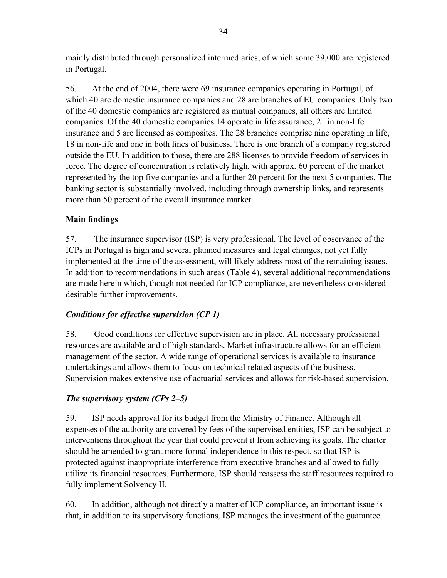mainly distributed through personalized intermediaries, of which some 39,000 are registered in Portugal.

56. At the end of 2004, there were 69 insurance companies operating in Portugal, of which 40 are domestic insurance companies and 28 are branches of EU companies. Only two of the 40 domestic companies are registered as mutual companies, all others are limited companies. Of the 40 domestic companies 14 operate in life assurance, 21 in non-life insurance and 5 are licensed as composites. The 28 branches comprise nine operating in life, 18 in non-life and one in both lines of business. There is one branch of a company registered outside the EU. In addition to those, there are 288 licenses to provide freedom of services in force. The degree of concentration is relatively high, with approx. 60 percent of the market represented by the top five companies and a further 20 percent for the next 5 companies. The banking sector is substantially involved, including through ownership links, and represents more than 50 percent of the overall insurance market.

## **Main findings**

57. The insurance supervisor (ISP) is very professional. The level of observance of the ICPs in Portugal is high and several planned measures and legal changes, not yet fully implemented at the time of the assessment, will likely address most of the remaining issues. In addition to recommendations in such areas (Table 4), several additional recommendations are made herein which, though not needed for ICP compliance, are nevertheless considered desirable further improvements.

### *Conditions for effective supervision (CP 1)*

58. Good conditions for effective supervision are in place. All necessary professional resources are available and of high standards. Market infrastructure allows for an efficient management of the sector. A wide range of operational services is available to insurance undertakings and allows them to focus on technical related aspects of the business. Supervision makes extensive use of actuarial services and allows for risk-based supervision.

### *The supervisory system (CPs 2–5)*

59. ISP needs approval for its budget from the Ministry of Finance. Although all expenses of the authority are covered by fees of the supervised entities, ISP can be subject to interventions throughout the year that could prevent it from achieving its goals. The charter should be amended to grant more formal independence in this respect, so that ISP is protected against inappropriate interference from executive branches and allowed to fully utilize its financial resources. Furthermore, ISP should reassess the staff resources required to fully implement Solvency II.

60. In addition, although not directly a matter of ICP compliance, an important issue is that, in addition to its supervisory functions, ISP manages the investment of the guarantee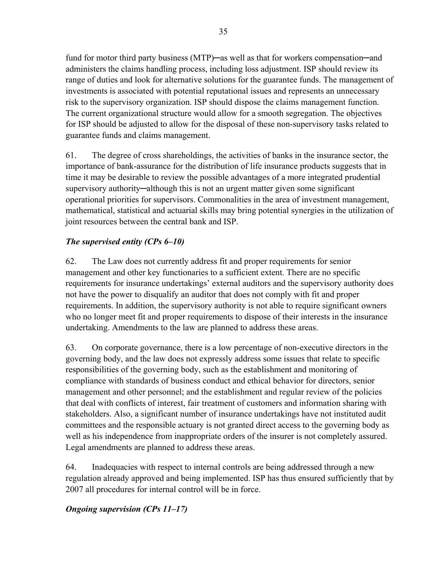fund for motor third party business (MTP)—as well as that for workers compensation—and administers the claims handling process, including loss adjustment. ISP should review its range of duties and look for alternative solutions for the guarantee funds. The management of investments is associated with potential reputational issues and represents an unnecessary risk to the supervisory organization. ISP should dispose the claims management function. The current organizational structure would allow for a smooth segregation. The objectives for ISP should be adjusted to allow for the disposal of these non-supervisory tasks related to guarantee funds and claims management.

61. The degree of cross shareholdings, the activities of banks in the insurance sector, the importance of bank-assurance for the distribution of life insurance products suggests that in time it may be desirable to review the possible advantages of a more integrated prudential supervisory authority—although this is not an urgent matter given some significant operational priorities for supervisors. Commonalities in the area of investment management, mathematical, statistical and actuarial skills may bring potential synergies in the utilization of joint resources between the central bank and ISP.

## *The supervised entity (CPs 6–10)*

62. The Law does not currently address fit and proper requirements for senior management and other key functionaries to a sufficient extent. There are no specific requirements for insurance undertakings' external auditors and the supervisory authority does not have the power to disqualify an auditor that does not comply with fit and proper requirements. In addition, the supervisory authority is not able to require significant owners who no longer meet fit and proper requirements to dispose of their interests in the insurance undertaking. Amendments to the law are planned to address these areas.

63. On corporate governance, there is a low percentage of non-executive directors in the governing body, and the law does not expressly address some issues that relate to specific responsibilities of the governing body, such as the establishment and monitoring of compliance with standards of business conduct and ethical behavior for directors, senior management and other personnel; and the establishment and regular review of the policies that deal with conflicts of interest, fair treatment of customers and information sharing with stakeholders. Also, a significant number of insurance undertakings have not instituted audit committees and the responsible actuary is not granted direct access to the governing body as well as his independence from inappropriate orders of the insurer is not completely assured. Legal amendments are planned to address these areas.

64. Inadequacies with respect to internal controls are being addressed through a new regulation already approved and being implemented. ISP has thus ensured sufficiently that by 2007 all procedures for internal control will be in force.

## *Ongoing supervision (CPs 11–17)*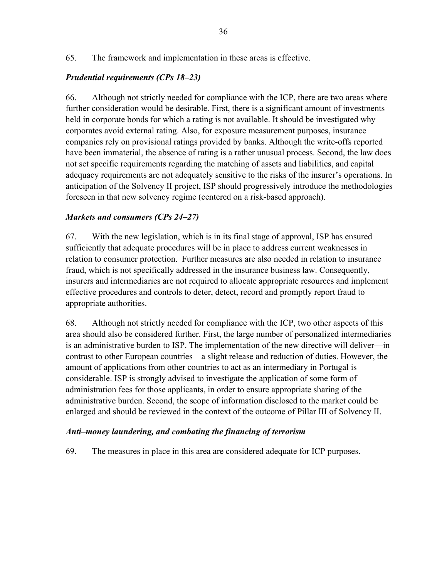65. The framework and implementation in these areas is effective.

#### *Prudential requirements (CPs 18–23)*

66. Although not strictly needed for compliance with the ICP, there are two areas where further consideration would be desirable. First, there is a significant amount of investments held in corporate bonds for which a rating is not available. It should be investigated why corporates avoid external rating. Also, for exposure measurement purposes, insurance companies rely on provisional ratings provided by banks. Although the write-offs reported have been immaterial, the absence of rating is a rather unusual process. Second, the law does not set specific requirements regarding the matching of assets and liabilities, and capital adequacy requirements are not adequately sensitive to the risks of the insurer's operations. In anticipation of the Solvency II project, ISP should progressively introduce the methodologies foreseen in that new solvency regime (centered on a risk-based approach).

#### *Markets and consumers (CPs 24–27)*

67. With the new legislation, which is in its final stage of approval, ISP has ensured sufficiently that adequate procedures will be in place to address current weaknesses in relation to consumer protection. Further measures are also needed in relation to insurance fraud, which is not specifically addressed in the insurance business law. Consequently, insurers and intermediaries are not required to allocate appropriate resources and implement effective procedures and controls to deter, detect, record and promptly report fraud to appropriate authorities.

68. Although not strictly needed for compliance with the ICP, two other aspects of this area should also be considered further. First, the large number of personalized intermediaries is an administrative burden to ISP. The implementation of the new directive will deliver—in contrast to other European countries—a slight release and reduction of duties. However, the amount of applications from other countries to act as an intermediary in Portugal is considerable. ISP is strongly advised to investigate the application of some form of administration fees for those applicants, in order to ensure appropriate sharing of the administrative burden. Second, the scope of information disclosed to the market could be enlarged and should be reviewed in the context of the outcome of Pillar III of Solvency II.

#### *Anti–money laundering, and combating the financing of terrorism*

69. The measures in place in this area are considered adequate for ICP purposes.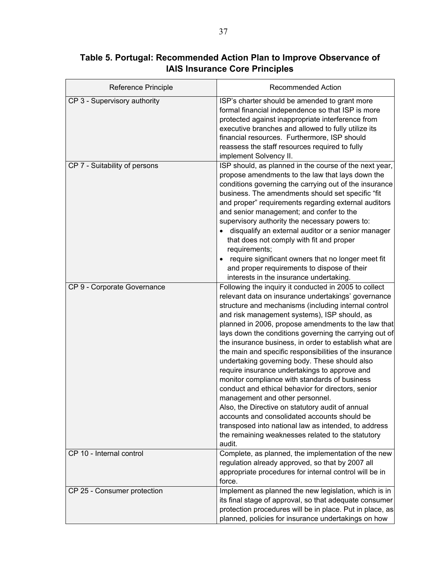| Reference Principle           | <b>Recommended Action</b>                                                                                                                                                                                                                                                                                                                                                                                                                                                                                                                                                                                                                                                                                                                                                                                                                                                                                                         |
|-------------------------------|-----------------------------------------------------------------------------------------------------------------------------------------------------------------------------------------------------------------------------------------------------------------------------------------------------------------------------------------------------------------------------------------------------------------------------------------------------------------------------------------------------------------------------------------------------------------------------------------------------------------------------------------------------------------------------------------------------------------------------------------------------------------------------------------------------------------------------------------------------------------------------------------------------------------------------------|
| CP 3 - Supervisory authority  | ISP's charter should be amended to grant more<br>formal financial independence so that ISP is more<br>protected against inappropriate interference from<br>executive branches and allowed to fully utilize its<br>financial resources. Furthermore, ISP should<br>reassess the staff resources required to fully<br>implement Solvency II.                                                                                                                                                                                                                                                                                                                                                                                                                                                                                                                                                                                        |
| CP 7 - Suitability of persons | ISP should, as planned in the course of the next year,<br>propose amendments to the law that lays down the<br>conditions governing the carrying out of the insurance<br>business. The amendments should set specific "fit<br>and proper" requirements regarding external auditors<br>and senior management; and confer to the<br>supervisory authority the necessary powers to:<br>disqualify an external auditor or a senior manager<br>that does not comply with fit and proper<br>requirements;<br>require significant owners that no longer meet fit<br>and proper requirements to dispose of their<br>interests in the insurance undertaking.                                                                                                                                                                                                                                                                                |
| CP 9 - Corporate Governance   | Following the inquiry it conducted in 2005 to collect<br>relevant data on insurance undertakings' governance<br>structure and mechanisms (including internal control<br>and risk management systems), ISP should, as<br>planned in 2006, propose amendments to the law that<br>lays down the conditions governing the carrying out of<br>the insurance business, in order to establish what are<br>the main and specific responsibilities of the insurance<br>undertaking governing body. These should also<br>require insurance undertakings to approve and<br>monitor compliance with standards of business<br>conduct and ethical behavior for directors, senior<br>management and other personnel.<br>Also, the Directive on statutory audit of annual<br>accounts and consolidated accounts should be<br>transposed into national law as intended, to address<br>the remaining weaknesses related to the statutory<br>audit. |
| CP 10 - Internal control      | Complete, as planned, the implementation of the new<br>regulation already approved, so that by 2007 all<br>appropriate procedures for internal control will be in<br>force.                                                                                                                                                                                                                                                                                                                                                                                                                                                                                                                                                                                                                                                                                                                                                       |
| CP 25 - Consumer protection   | Implement as planned the new legislation, which is in<br>its final stage of approval, so that adequate consumer<br>protection procedures will be in place. Put in place, as<br>planned, policies for insurance undertakings on how                                                                                                                                                                                                                                                                                                                                                                                                                                                                                                                                                                                                                                                                                                |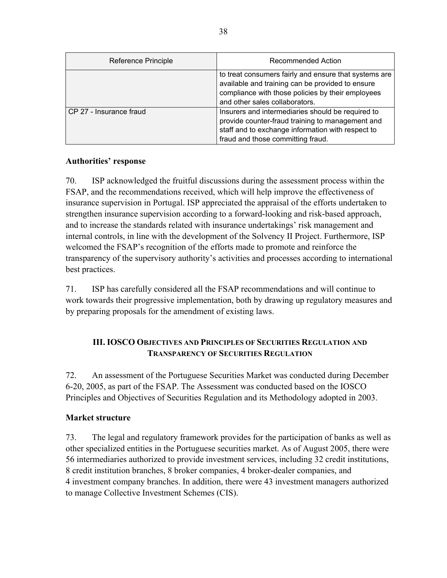| Reference Principle     | Recommended Action                                                                                                                                                                               |
|-------------------------|--------------------------------------------------------------------------------------------------------------------------------------------------------------------------------------------------|
|                         | to treat consumers fairly and ensure that systems are<br>available and training can be provided to ensure<br>compliance with those policies by their employees<br>and other sales collaborators. |
| CP 27 - Insurance fraud | Insurers and intermediaries should be required to<br>provide counter-fraud training to management and<br>staff and to exchange information with respect to<br>fraud and those committing fraud.  |

### **Authorities' response**

70. ISP acknowledged the fruitful discussions during the assessment process within the FSAP, and the recommendations received, which will help improve the effectiveness of insurance supervision in Portugal. ISP appreciated the appraisal of the efforts undertaken to strengthen insurance supervision according to a forward-looking and risk-based approach, and to increase the standards related with insurance undertakings' risk management and internal controls, in line with the development of the Solvency II Project. Furthermore, ISP welcomed the FSAP's recognition of the efforts made to promote and reinforce the transparency of the supervisory authority's activities and processes according to international best practices.

71. ISP has carefully considered all the FSAP recommendations and will continue to work towards their progressive implementation, both by drawing up regulatory measures and by preparing proposals for the amendment of existing laws.

## **III. IOSCO OBJECTIVES AND PRINCIPLES OF SECURITIES REGULATION AND TRANSPARENCY OF SECURITIES REGULATION**

72. An assessment of the Portuguese Securities Market was conducted during December 6-20, 2005, as part of the FSAP. The Assessment was conducted based on the IOSCO Principles and Objectives of Securities Regulation and its Methodology adopted in 2003.

### **Market structure**

73. The legal and regulatory framework provides for the participation of banks as well as other specialized entities in the Portuguese securities market. As of August 2005, there were 56 intermediaries authorized to provide investment services, including 32 credit institutions, 8 credit institution branches, 8 broker companies, 4 broker-dealer companies, and 4 investment company branches. In addition, there were 43 investment managers authorized to manage Collective Investment Schemes (CIS).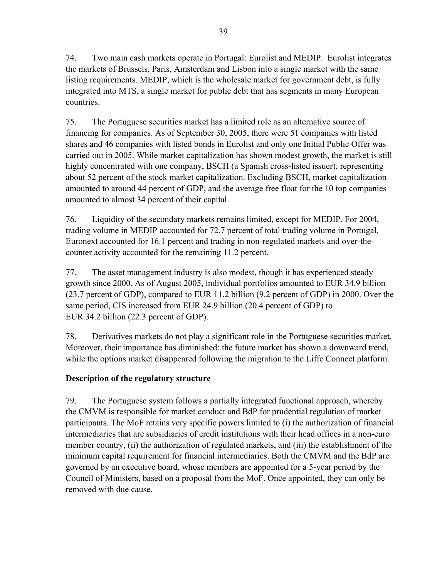74. Two main cash markets operate in Portugal: Eurolist and MEDIP.Eurolist integrates the markets of Brussels, Paris, Amsterdam and Lisbon into a single market with the same listing requirements. MEDIP, which is the wholesale market for government debt, is fully integrated into MTS, a single market for public debt that has segments in many European countries.

75. The Portuguese securities market has a limited role as an alternative source of financing for companies. As of September 30, 2005, there were 51 companies with listed shares and 46 companies with listed bonds in Eurolist and only one Initial Public Offer was carried out in 2005. While market capitalization has shown modest growth, the market is still highly concentrated with one company, BSCH (a Spanish cross-listed issuer), representing about 52 percent of the stock market capitalization. Excluding BSCH, market capitalization amounted to around 44 percent of GDP, and the average free float for the 10 top companies amounted to almost 34 percent of their capital.

76. Liquidity of the secondary markets remains limited, except for MEDIP. For 2004, trading volume in MEDIP accounted for 72.7 percent of total trading volume in Portugal, Euronext accounted for 16.1 percent and trading in non-regulated markets and over-thecounter activity accounted for the remaining 11.2 percent.

77. The asset management industry is also modest, though it has experienced steady growth since 2000. As of August 2005, individual portfolios amounted to EUR 34.9 billion (23.7 percent of GDP), compared to EUR 11.2 billion (9.2 percent of GDP) in 2000. Over the same period, CIS increased from EUR 24.9 billion (20.4 percent of GDP) to EUR 34.2 billion (22.3 percent of GDP).

78. Derivatives markets do not play a significant role in the Portuguese securities market. Moreover, their importance has diminished: the future market has shown a downward trend, while the options market disappeared following the migration to the Liffe Connect platform.

## **Description of the regulatory structure**

79. The Portuguese system follows a partially integrated functional approach, whereby the CMVM is responsible for market conduct and BdP for prudential regulation of market participants. The MoF retains very specific powers limited to (i) the authorization of financial intermediaries that are subsidiaries of credit institutions with their head offices in a non-euro member country, (ii) the authorization of regulated markets, and (iii) the establishment of the minimum capital requirement for financial intermediaries. Both the CMVM and the BdP are governed by an executive board, whose members are appointed for a 5-year period by the Council of Ministers, based on a proposal from the MoF. Once appointed, they can only be removed with due cause.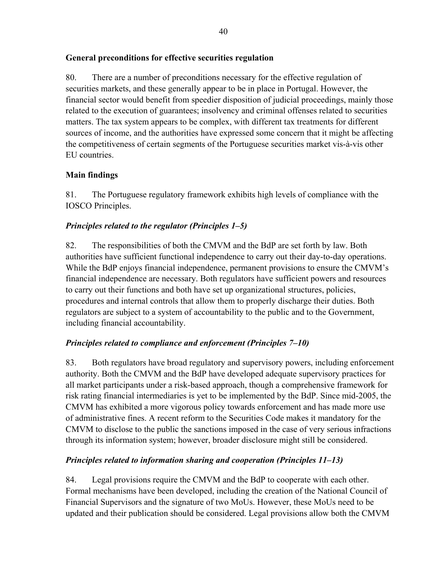## **General preconditions for effective securities regulation**

80. There are a number of preconditions necessary for the effective regulation of securities markets, and these generally appear to be in place in Portugal. However, the financial sector would benefit from speedier disposition of judicial proceedings, mainly those related to the execution of guarantees; insolvency and criminal offenses related to securities matters. The tax system appears to be complex, with different tax treatments for different sources of income, and the authorities have expressed some concern that it might be affecting the competitiveness of certain segments of the Portuguese securities market vis-à-vis other EU countries.

## **Main findings**

81. The Portuguese regulatory framework exhibits high levels of compliance with the IOSCO Principles.

## *Principles related to the regulator (Principles 1–5)*

82. The responsibilities of both the CMVM and the BdP are set forth by law. Both authorities have sufficient functional independence to carry out their day-to-day operations. While the BdP enjoys financial independence, permanent provisions to ensure the CMVM's financial independence are necessary. Both regulators have sufficient powers and resources to carry out their functions and both have set up organizational structures, policies, procedures and internal controls that allow them to properly discharge their duties. Both regulators are subject to a system of accountability to the public and to the Government, including financial accountability.

## *Principles related to compliance and enforcement (Principles 7–10)*

83. Both regulators have broad regulatory and supervisory powers, including enforcement authority. Both the CMVM and the BdP have developed adequate supervisory practices for all market participants under a risk-based approach, though a comprehensive framework for risk rating financial intermediaries is yet to be implemented by the BdP. Since mid-2005, the CMVM has exhibited a more vigorous policy towards enforcement and has made more use of administrative fines. A recent reform to the Securities Code makes it mandatory for the CMVM to disclose to the public the sanctions imposed in the case of very serious infractions through its information system; however, broader disclosure might still be considered.

## *Principles related to information sharing and cooperation (Principles 11–13)*

84. Legal provisions require the CMVM and the BdP to cooperate with each other. Formal mechanisms have been developed, including the creation of the National Council of Financial Supervisors and the signature of two MoUs. However, these MoUs need to be updated and their publication should be considered. Legal provisions allow both the CMVM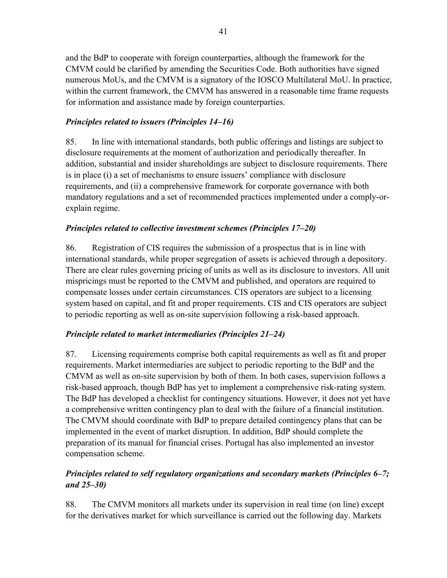and the BdP to cooperate with foreign counterparties, although the framework for the CMVM could be clarified by amending the Securities Code. Both authorities have signed numerous MoUs, and the CMVM is a signatory of the IOSCO Multilateral MoU. In practice, within the current framework, the CMVM has answered in a reasonable time frame requests for information and assistance made by foreign counterparties.

## *Principles related to issuers (Principles 14–16)*

85. In line with international standards, both public offerings and listings are subject to disclosure requirements at the moment of authorization and periodically thereafter. In addition, substantial and insider shareholdings are subject to disclosure requirements. There is in place (i) a set of mechanisms to ensure issuers' compliance with disclosure requirements, and (ii) a comprehensive framework for corporate governance with both mandatory regulations and a set of recommended practices implemented under a comply-orexplain regime.

## *Principles related to collective investment schemes (Principles 17–20)*

86. Registration of CIS requires the submission of a prospectus that is in line with international standards, while proper segregation of assets is achieved through a depository. There are clear rules governing pricing of units as well as its disclosure to investors. All unit mispricings must be reported to the CMVM and published, and operators are required to compensate losses under certain circumstances. CIS operators are subject to a licensing system based on capital, and fit and proper requirements. CIS and CIS operators are subject to periodic reporting as well as on-site supervision following a risk-based approach.

## *Principle related to market intermediaries (Principles 21–24)*

87. Licensing requirements comprise both capital requirements as well as fit and proper requirements. Market intermediaries are subject to periodic reporting to the BdP and the CMVM as well as on-site supervision by both of them. In both cases, supervision follows a risk-based approach, though BdP has yet to implement a comprehensive risk-rating system. The BdP has developed a checklist for contingency situations. However, it does not yet have a comprehensive written contingency plan to deal with the failure of a financial institution. The CMVM should coordinate with BdP to prepare detailed contingency plans that can be implemented in the event of market disruption. In addition, BdP should complete the preparation of its manual for financial crises. Portugal has also implemented an investor compensation scheme.

## *Principles related to self regulatory organizations and secondary markets (Principles 6–7; and 25–30)*

88. The CMVM monitors all markets under its supervision in real time (on line) except for the derivatives market for which surveillance is carried out the following day. Markets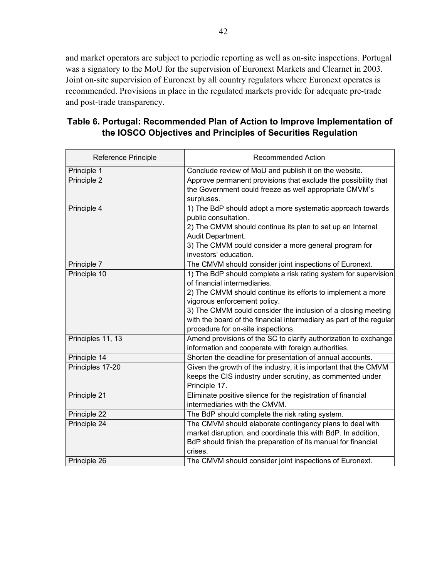and market operators are subject to periodic reporting as well as on-site inspections. Portugal was a signatory to the MoU for the supervision of Euronext Markets and Clearnet in 2003. Joint on-site supervision of Euronext by all country regulators where Euronext operates is recommended. Provisions in place in the regulated markets provide for adequate pre-trade and post-trade transparency.

| Table 6. Portugal: Recommended Plan of Action to Improve Implementation of |  |
|----------------------------------------------------------------------------|--|
| the IOSCO Objectives and Principles of Securities Regulation               |  |

| <b>Reference Principle</b> | <b>Recommended Action</b>                                                                                                                                                                                                                                                                                                                                                    |
|----------------------------|------------------------------------------------------------------------------------------------------------------------------------------------------------------------------------------------------------------------------------------------------------------------------------------------------------------------------------------------------------------------------|
| Principle 1                | Conclude review of MoU and publish it on the website.                                                                                                                                                                                                                                                                                                                        |
| Principle 2                | Approve permanent provisions that exclude the possibility that<br>the Government could freeze as well appropriate CMVM's<br>surpluses.                                                                                                                                                                                                                                       |
| Principle 4                | 1) The BdP should adopt a more systematic approach towards<br>public consultation.<br>2) The CMVM should continue its plan to set up an Internal<br>Audit Department.<br>3) The CMVM could consider a more general program for<br>investors' education.                                                                                                                      |
| Principle 7                | The CMVM should consider joint inspections of Euronext.                                                                                                                                                                                                                                                                                                                      |
| Principle 10               | 1) The BdP should complete a risk rating system for supervision<br>of financial intermediaries.<br>2) The CMVM should continue its efforts to implement a more<br>vigorous enforcement policy.<br>3) The CMVM could consider the inclusion of a closing meeting<br>with the board of the financial intermediary as part of the regular<br>procedure for on-site inspections. |
| Principles 11, 13          | Amend provisions of the SC to clarify authorization to exchange<br>information and cooperate with foreign authorities.                                                                                                                                                                                                                                                       |
| Principle 14               | Shorten the deadline for presentation of annual accounts.                                                                                                                                                                                                                                                                                                                    |
| Principles 17-20           | Given the growth of the industry, it is important that the CMVM<br>keeps the CIS industry under scrutiny, as commented under<br>Principle 17.                                                                                                                                                                                                                                |
| Principle 21               | Eliminate positive silence for the registration of financial<br>intermediaries with the CMVM.                                                                                                                                                                                                                                                                                |
| Principle 22               | The BdP should complete the risk rating system.                                                                                                                                                                                                                                                                                                                              |
| Principle 24               | The CMVM should elaborate contingency plans to deal with<br>market disruption, and coordinate this with BdP. In addition,<br>BdP should finish the preparation of its manual for financial<br>crises.                                                                                                                                                                        |
| Principle 26               | The CMVM should consider joint inspections of Euronext.                                                                                                                                                                                                                                                                                                                      |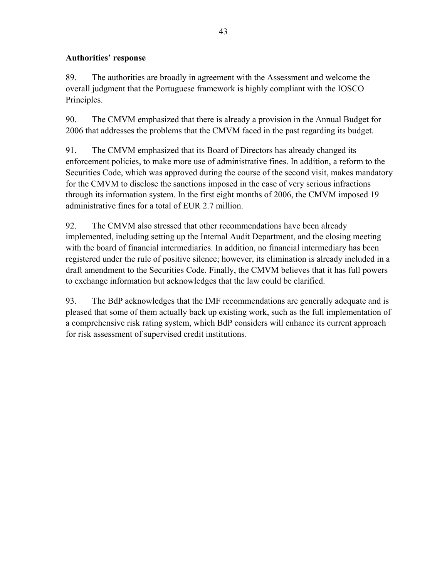## **Authorities' response**

89. The authorities are broadly in agreement with the Assessment and welcome the overall judgment that the Portuguese framework is highly compliant with the IOSCO Principles.

90. The CMVM emphasized that there is already a provision in the Annual Budget for 2006 that addresses the problems that the CMVM faced in the past regarding its budget.

91. The CMVM emphasized that its Board of Directors has already changed its enforcement policies, to make more use of administrative fines. In addition, a reform to the Securities Code, which was approved during the course of the second visit, makes mandatory for the CMVM to disclose the sanctions imposed in the case of very serious infractions through its information system. In the first eight months of 2006, the CMVM imposed 19 administrative fines for a total of EUR 2.7 million.

92. The CMVM also stressed that other recommendations have been already implemented, including setting up the Internal Audit Department, and the closing meeting with the board of financial intermediaries. In addition, no financial intermediary has been registered under the rule of positive silence; however, its elimination is already included in a draft amendment to the Securities Code. Finally, the CMVM believes that it has full powers to exchange information but acknowledges that the law could be clarified.

93. The BdP acknowledges that the IMF recommendations are generally adequate and is pleased that some of them actually back up existing work, such as the full implementation of a comprehensive risk rating system, which BdP considers will enhance its current approach for risk assessment of supervised credit institutions.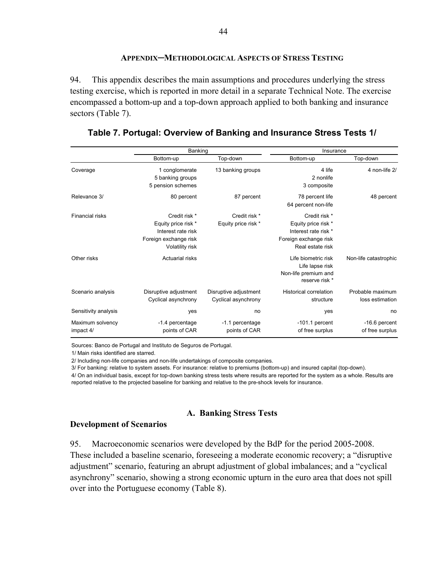#### **APPENDIX─METHODOLOGICAL ASPECTS OF STRESS TESTING**

94. This appendix describes the main assumptions and procedures underlying the stress testing exercise, which is reported in more detail in a separate Technical Note. The exercise encompassed a bottom-up and a top-down approach applied to both banking and insurance sectors (Table 7).

|                               | Banking                                                                                                |                                              | Insurance                                                                                                 |                                     |
|-------------------------------|--------------------------------------------------------------------------------------------------------|----------------------------------------------|-----------------------------------------------------------------------------------------------------------|-------------------------------------|
|                               | Bottom-up                                                                                              | Top-down                                     | Bottom-up                                                                                                 | Top-down                            |
| Coverage                      | 1 conglomerate<br>5 banking groups<br>5 pension schemes                                                | 13 banking groups                            | 4 life<br>2 nonlife<br>3 composite                                                                        | 4 non-life 2/                       |
| Relevance 3/                  | 80 percent                                                                                             | 87 percent                                   | 78 percent life<br>64 percent non-life                                                                    | 48 percent                          |
| Financial risks               | Credit risk *<br>Equity price risk *<br>Interest rate risk<br>Foreign exchange risk<br>Volatility risk | Credit risk *<br>Equity price risk *         | Credit risk *<br>Equity price risk *<br>Interest rate risk *<br>Foreign exchange risk<br>Real estate risk |                                     |
| Other risks                   | <b>Actuarial risks</b>                                                                                 |                                              | Life biometric risk<br>Life lapse risk<br>Non-life premium and<br>reserve risk *                          | Non-life catastrophic               |
| Scenario analysis             | Disruptive adjustment<br>Cyclical asynchrony                                                           | Disruptive adjustment<br>Cyclical asynchrony | <b>Historical correlation</b><br>structure                                                                | Probable maximum<br>loss estimation |
| Sensitivity analysis          | yes                                                                                                    | no                                           | yes                                                                                                       | no                                  |
| Maximum solvency<br>impact 4/ | -1.4 percentage<br>points of CAR                                                                       | -1.1 percentage<br>points of CAR             | $-101.1$ percent<br>of free surplus                                                                       | -16.6 percent<br>of free surplus    |

#### **Table 7. Portugal: Overview of Banking and Insurance Stress Tests 1/**

Sources: Banco de Portugal and Instituto de Seguros de Portugal.

1/ Main risks identified are starred.

2/ Including non-life companies and non-life undertakings of composite companies.

3/ For banking: relative to system assets. For insurance: relative to premiums (bottom-up) and insured capital (top-down).

4/ On an individual basis, except for top-down banking stress tests where results are reported for the system as a whole. Results are reported relative to the projected baseline for banking and relative to the pre-shock levels for insurance.

#### **A. Banking Stress Tests**

#### **Development of Scenarios**

95. Macroeconomic scenarios were developed by the BdP for the period 2005-2008. These included a baseline scenario, foreseeing a moderate economic recovery; a "disruptive adjustment" scenario, featuring an abrupt adjustment of global imbalances; and a "cyclical asynchrony" scenario, showing a strong economic upturn in the euro area that does not spill over into the Portuguese economy (Table 8).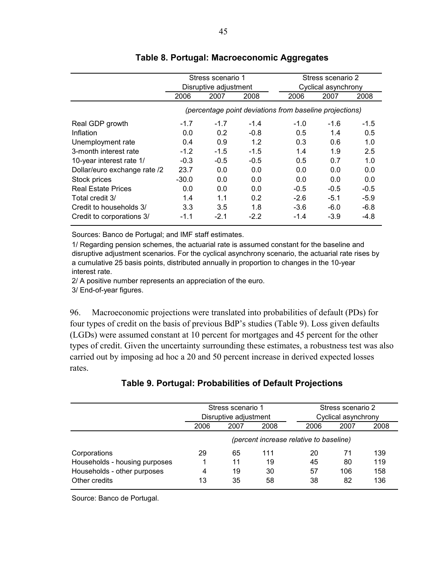|                              | Stress scenario 1<br>Disruptive adjustment              |        |        |  | Stress scenario 2<br>Cyclical asynchrony |        |        |
|------------------------------|---------------------------------------------------------|--------|--------|--|------------------------------------------|--------|--------|
|                              | 2006                                                    | 2007   | 2008   |  | 2006                                     | 2007   | 2008   |
|                              | (percentage point deviations from baseline projections) |        |        |  |                                          |        |        |
| Real GDP growth              | $-1.7$                                                  | $-1.7$ | $-1.4$ |  | $-1.0$                                   | $-1.6$ | $-1.5$ |
| Inflation                    | 0.0                                                     | 0.2    | $-0.8$ |  | 0.5                                      | 1.4    | 0.5    |
| Unemployment rate            | 0.4                                                     | 0.9    | 1.2    |  | 0.3                                      | 0.6    | 1.0    |
| 3-month interest rate        | $-1.2$                                                  | $-1.5$ | $-1.5$ |  | 1.4                                      | 1.9    | 2.5    |
| 10-year interest rate 1/     | $-0.3$                                                  | $-0.5$ | $-0.5$ |  | 0.5                                      | 0.7    | 1.0    |
| Dollar/euro exchange rate /2 | 23.7                                                    | 0.0    | 0.0    |  | 0.0                                      | 0.0    | 0.0    |
| Stock prices                 | $-30.0$                                                 | 0.0    | 0.0    |  | 0.0                                      | 0.0    | 0.0    |
| <b>Real Estate Prices</b>    | 0.0                                                     | 0.0    | 0.0    |  | $-0.5$                                   | $-0.5$ | $-0.5$ |
| Total credit 3/              | 1.4                                                     | 1.1    | 0.2    |  | $-2.6$                                   | $-5.1$ | $-5.9$ |
| Credit to households 3/      | 3.3 <sub>2</sub>                                        | 3.5    | 1.8    |  | $-3.6$                                   | $-6.0$ | $-6.8$ |
| Credit to corporations 3/    | $-1.1$                                                  | $-2.1$ | $-2.2$ |  | $-1.4$                                   | $-3.9$ | -4.8   |

### **Table 8. Portugal: Macroeconomic Aggregates**

Sources: Banco de Portugal; and IMF staff estimates.

1/ Regarding pension schemes, the actuarial rate is assumed constant for the baseline and disruptive adjustment scenarios. For the cyclical asynchrony scenario, the actuarial rate rises by a cumulative 25 basis points, distributed annually in proportion to changes in the 10-year interest rate.

2/ A positive number represents an appreciation of the euro.

3/ End-of-year figures.

96. Macroeconomic projections were translated into probabilities of default (PDs) for four types of credit on the basis of previous BdP's studies (Table 9). Loss given defaults (LGDs) were assumed constant at 10 percent for mortgages and 45 percent for the other types of credit. Given the uncertainty surrounding these estimates, a robustness test was also carried out by imposing ad hoc a 20 and 50 percent increase in derived expected losses rates.

|                               | Stress scenario 1<br>Disruptive adjustment |    |     |      | Stress scenario 2<br>Cyclical asynchrony |     |  |
|-------------------------------|--------------------------------------------|----|-----|------|------------------------------------------|-----|--|
|                               | 2006<br>2008<br>2007                       |    |     | 2006 | 2007                                     |     |  |
|                               | (percent increase relative to baseline)    |    |     |      |                                          |     |  |
| Corporations                  | 29                                         | 65 | 111 | 20   | 71                                       | 139 |  |
| Households - housing purposes |                                            | 11 | 19  | 45   | 80                                       | 119 |  |
| Households - other purposes   | 4                                          | 19 | 30  | 57   | 106                                      | 158 |  |
| Other credits                 | 13                                         | 35 | 58  | 38   | 82                                       | 136 |  |

### **Table 9. Portugal: Probabilities of Default Projections**

Source: Banco de Portugal.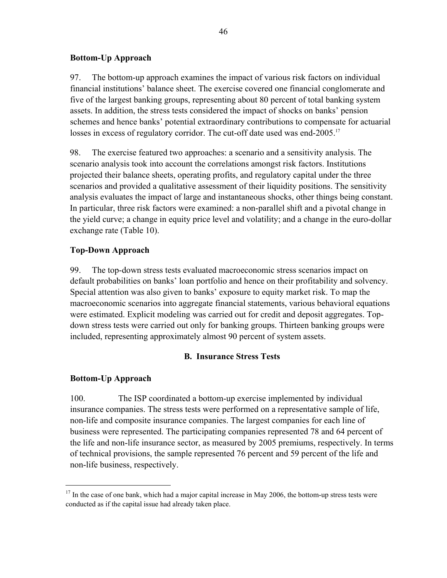#### **Bottom-Up Approach**

97. The bottom-up approach examines the impact of various risk factors on individual financial institutions' balance sheet. The exercise covered one financial conglomerate and five of the largest banking groups, representing about 80 percent of total banking system assets. In addition, the stress tests considered the impact of shocks on banks' pension schemes and hence banks' potential extraordinary contributions to compensate for actuarial losses in excess of regulatory corridor. The cut-off date used was end-2005.<sup>17</sup>

98. The exercise featured two approaches: a scenario and a sensitivity analysis. The scenario analysis took into account the correlations amongst risk factors. Institutions projected their balance sheets, operating profits, and regulatory capital under the three scenarios and provided a qualitative assessment of their liquidity positions. The sensitivity analysis evaluates the impact of large and instantaneous shocks, other things being constant. In particular, three risk factors were examined: a non-parallel shift and a pivotal change in the yield curve; a change in equity price level and volatility; and a change in the euro-dollar exchange rate (Table 10).

## **Top-Down Approach**

99. The top-down stress tests evaluated macroeconomic stress scenarios impact on default probabilities on banks' loan portfolio and hence on their profitability and solvency. Special attention was also given to banks' exposure to equity market risk. To map the macroeconomic scenarios into aggregate financial statements, various behavioral equations were estimated. Explicit modeling was carried out for credit and deposit aggregates. Topdown stress tests were carried out only for banking groups. Thirteen banking groups were included, representing approximately almost 90 percent of system assets.

### **B. Insurance Stress Tests**

### **Bottom-Up Approach**

 $\overline{a}$ 

100. The ISP coordinated a bottom-up exercise implemented by individual insurance companies. The stress tests were performed on a representative sample of life, non-life and composite insurance companies. The largest companies for each line of business were represented. The participating companies represented 78 and 64 percent of the life and non-life insurance sector, as measured by 2005 premiums, respectively. In terms of technical provisions, the sample represented 76 percent and 59 percent of the life and non-life business, respectively.

 $17$  In the case of one bank, which had a major capital increase in May 2006, the bottom-up stress tests were conducted as if the capital issue had already taken place.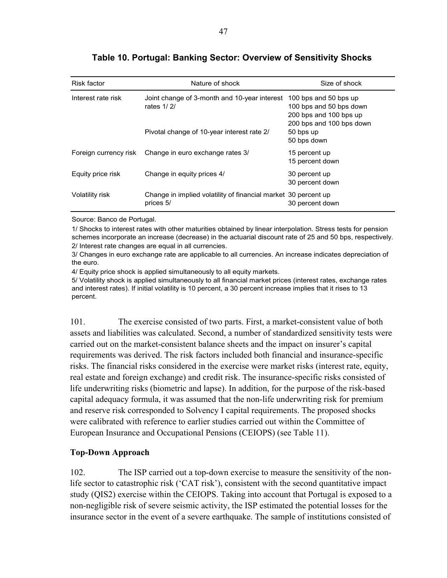| <b>Risk factor</b> | Nature of shock                                                                                          | Size of shock                                                                                                                      |
|--------------------|----------------------------------------------------------------------------------------------------------|------------------------------------------------------------------------------------------------------------------------------------|
| Interest rate risk | Joint change of 3-month and 10-year interest<br>rates 1/2/<br>Pivotal change of 10-year interest rate 2/ | 100 bps and 50 bps up<br>100 bps and 50 bps down<br>200 bps and 100 bps up<br>200 bps and 100 bps down<br>50 bps up<br>50 bps down |
|                    | Foreign currency risk Change in euro exchange rates 3/                                                   | 15 percent up<br>15 percent down                                                                                                   |
| Equity price risk  | Change in equity prices 4/                                                                               | 30 percent up<br>30 percent down                                                                                                   |
| Volatility risk    | Change in implied volatility of financial market 30 percent up<br>prices 5/                              | 30 percent down                                                                                                                    |

## **Table 10. Portugal: Banking Sector: Overview of Sensitivity Shocks**

Source: Banco de Portugal.

2/ Interest rate changes are equal in all currencies. 1/ Shocks to interest rates with other maturities obtained by linear interpolation. Stress tests for pension schemes incorporate an increase (decrease) in the actuarial discount rate of 25 and 50 bps, respectively.

3/ Changes in euro exchange rate are applicable to all currencies. An increase indicates depreciation of the euro.

4/ Equity price shock is applied simultaneously to all equity markets.

5/ Volatility shock is applied simultaneously to all financial market prices (interest rates, exchange rates and interest rates). If initial volatility is 10 percent, a 30 percent increase implies that it rises to 13 percent.

101. The exercise consisted of two parts. First, a market-consistent value of both assets and liabilities was calculated. Second, a number of standardized sensitivity tests were carried out on the market-consistent balance sheets and the impact on insurer's capital requirements was derived. The risk factors included both financial and insurance-specific risks. The financial risks considered in the exercise were market risks (interest rate, equity, real estate and foreign exchange) and credit risk. The insurance-specific risks consisted of life underwriting risks (biometric and lapse). In addition, for the purpose of the risk-based capital adequacy formula, it was assumed that the non-life underwriting risk for premium and reserve risk corresponded to Solvency I capital requirements. The proposed shocks were calibrated with reference to earlier studies carried out within the Committee of European Insurance and Occupational Pensions (CEIOPS) (see Table 11).

### **Top-Down Approach**

102. The ISP carried out a top-down exercise to measure the sensitivity of the nonlife sector to catastrophic risk ('CAT risk'), consistent with the second quantitative impact study (QIS2) exercise within the CEIOPS. Taking into account that Portugal is exposed to a non-negligible risk of severe seismic activity, the ISP estimated the potential losses for the insurance sector in the event of a severe earthquake. The sample of institutions consisted of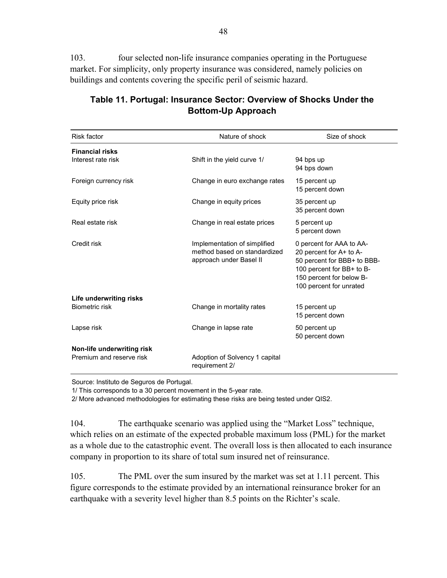103. four selected non-life insurance companies operating in the Portuguese market. For simplicity, only property insurance was considered, namely policies on buildings and contents covering the specific peril of seismic hazard.

| <b>Risk factor</b>                                     | Nature of shock                                                                         | Size of shock                                                                                                                                                          |
|--------------------------------------------------------|-----------------------------------------------------------------------------------------|------------------------------------------------------------------------------------------------------------------------------------------------------------------------|
| <b>Financial risks</b><br>Interest rate risk           | Shift in the yield curve 1/                                                             | 94 bps up<br>94 bps down                                                                                                                                               |
| Foreign currency risk                                  | Change in euro exchange rates                                                           | 15 percent up<br>15 percent down                                                                                                                                       |
| Equity price risk                                      | Change in equity prices                                                                 | 35 percent up<br>35 percent down                                                                                                                                       |
| Real estate risk                                       | Change in real estate prices                                                            | 5 percent up<br>5 percent down                                                                                                                                         |
| Credit risk                                            | Implementation of simplified<br>method based on standardized<br>approach under Basel II | 0 percent for AAA to AA-<br>20 percent for A+ to A-<br>50 percent for BBB+ to BBB-<br>100 percent for BB+ to B-<br>150 percent for below B-<br>100 percent for unrated |
| Life underwriting risks                                |                                                                                         |                                                                                                                                                                        |
| Biometric risk                                         | Change in mortality rates                                                               | 15 percent up<br>15 percent down                                                                                                                                       |
| Lapse risk                                             | Change in lapse rate                                                                    | 50 percent up<br>50 percent down                                                                                                                                       |
| Non-life underwriting risk<br>Premium and reserve risk | Adoption of Solvency 1 capital<br>requirement 2/                                        |                                                                                                                                                                        |

## **Table 11. Portugal: Insurance Sector: Overview of Shocks Under the Bottom-Up Approach**

Source: Instituto de Seguros de Portugal.

1/ This corresponds to a 30 percent movement in the 5-year rate.

2/ More advanced methodologies for estimating these risks are being tested under QIS2.

104. The earthquake scenario was applied using the "Market Loss" technique, which relies on an estimate of the expected probable maximum loss (PML) for the market as a whole due to the catastrophic event. The overall loss is then allocated to each insurance company in proportion to its share of total sum insured net of reinsurance.

105. The PML over the sum insured by the market was set at 1.11 percent. This figure corresponds to the estimate provided by an international reinsurance broker for an earthquake with a severity level higher than 8.5 points on the Richter's scale.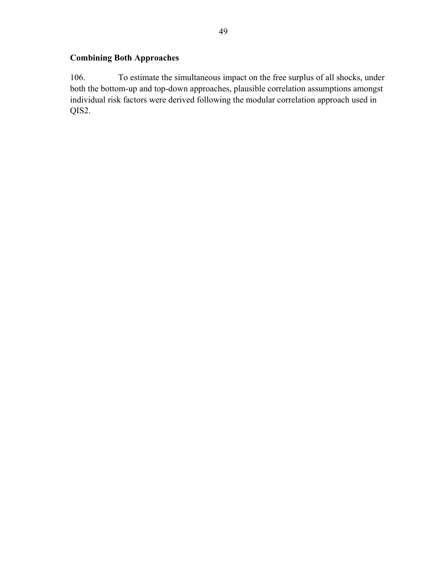## **Combining Both Approaches**

106. To estimate the simultaneous impact on the free surplus of all shocks, under both the bottom-up and top-down approaches, plausible correlation assumptions amongst individual risk factors were derived following the modular correlation approach used in QIS2.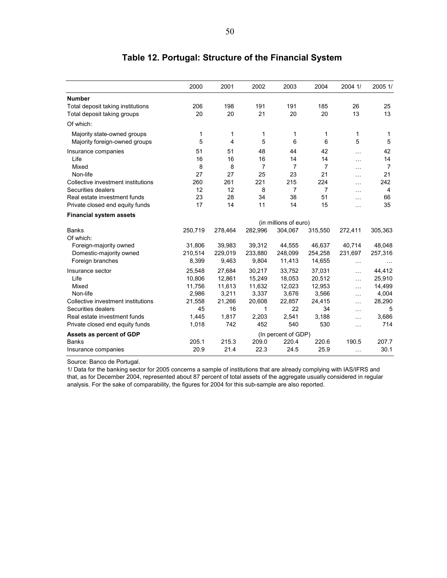|                                    | 2000    | 2001    | 2002    | 2003                  | 2004           | 2004 1/   | 2005 1/        |
|------------------------------------|---------|---------|---------|-----------------------|----------------|-----------|----------------|
| <b>Number</b>                      |         |         |         |                       |                |           |                |
| Total deposit taking institutions  | 206     | 198     | 191     | 191                   | 185            | 26        | 25             |
| Total deposit taking groups        | 20      | 20      | 21      | 20                    | 20             | 13        | 13             |
| Of which:                          |         |         |         |                       |                |           |                |
| Majority state-owned groups        | 1       | 1       | 1       | 1                     | 1              | 1         | 1              |
| Majority foreign-owned groups      | 5       | 4       | 5       | 6                     | 6              | 5         | 5              |
| Insurance companies                | 51      | 51      | 48      | 44                    | 42             | $\cdots$  | 42             |
| Life                               | 16      | 16      | 16      | 14                    | 14             | .         | 14             |
| Mixed                              | 8       | 8       | 7       | $\overline{7}$        | $\overline{7}$ | $\cdots$  | $\overline{7}$ |
| Non-life                           | 27      | 27      | 25      | 23                    | 21             | $\ddotsc$ | 21             |
| Collective investment institutions | 260     | 261     | 221     | 215                   | 224            | $\ddotsc$ | 242            |
| Securities dealers                 | 12      | 12      | 8       | $\overline{7}$        | $\overline{7}$ | $\ddotsc$ | 4              |
| Real estate investment funds       | 23      | 28      | 34      | 38                    | 51             | $\ddotsc$ | 66             |
| Private closed end equity funds    | 17      | 14      | 11      | 14                    | 15             | $\cdots$  | 35             |
| <b>Financial system assets</b>     |         |         |         |                       |                |           |                |
|                                    |         |         |         | (in millions of euro) |                |           |                |
| <b>Banks</b>                       | 250,719 | 278,464 | 282,996 | 304,067               | 315,550        | 272,411   | 305,363        |
| Of which:                          |         |         |         |                       |                |           |                |
| Foreign-majority owned             | 31,806  | 39,983  | 39,312  | 44,555                | 46,637         | 40,714    | 48,048         |
| Domestic-majority owned            | 210,514 | 229,019 | 233,880 | 248,099               | 254,258        | 231,697   | 257,316        |
| Foreign branches                   | 8,399   | 9,463   | 9,804   | 11,413                | 14,655         | $\cdots$  | $\ddotsc$      |
| Insurance sector                   | 25,548  | 27,684  | 30,217  | 33,752                | 37,031         | $\ddotsc$ | 44,412         |
| Life                               | 10,806  | 12,861  | 15,249  | 18,053                | 20,512         | $\ddotsc$ | 25,910         |
| Mixed                              | 11,756  | 11,613  | 11,632  | 12,023                | 12,953         | .         | 14,499         |
| Non-life                           | 2,986   | 3,211   | 3,337   | 3,676                 | 3,566          | $\cdots$  | 4,004          |
| Collective investment institutions | 21,558  | 21,266  | 20,608  | 22,857                | 24,415         | $\ddotsc$ | 28,290         |
| Securities dealers                 | 45      | 16      | 1       | 22                    | 34             | $\cdots$  | 5              |
| Real estate investment funds       | 1,445   | 1,817   | 2,203   | 2,541                 | 3,188          | $\ddotsc$ | 3,686          |
| Private closed end equity funds    | 1,018   | 742     | 452     | 540                   | 530            | $\cdots$  | 714            |
| Assets as percent of GDP           |         |         |         | (In percent of GDP)   |                |           |                |
| <b>Banks</b>                       | 205.1   | 215.3   | 209.0   | 220.4                 | 220.6          | 190.5     | 207.7          |
| Insurance companies                | 20.9    | 21.4    | 22.3    | 24.5                  | 25.9           | $\cdots$  | 30.1           |

## **Table 12. Portugal: Structure of the Financial System**

Source: Banco de Portugal.

1/ Data for the banking sector for 2005 concerns a sample of institutions that are already complying with IAS/IFRS and that, as for December 2004, represented about 87 percent of total assets of the aggregate usually considered in regular analysis. For the sake of comparability, the figures for 2004 for this sub-sample are also reported.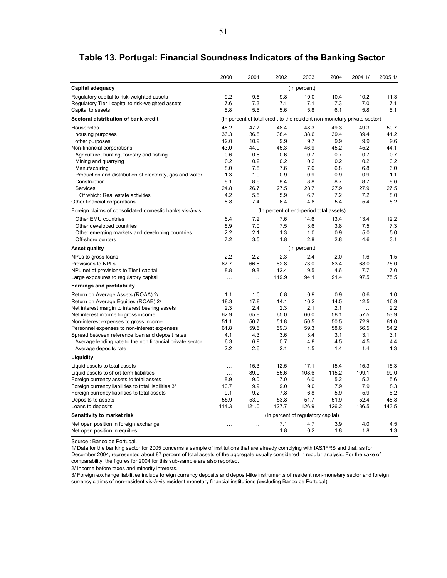|                                                           | 2000                                    | 2001      | 2002                                                                     | 2003         | 2004  | 2004 1/   | 2005 1/ |
|-----------------------------------------------------------|-----------------------------------------|-----------|--------------------------------------------------------------------------|--------------|-------|-----------|---------|
| Capital adequacy                                          | (In percent)                            |           |                                                                          |              |       |           |         |
| Regulatory capital to risk-weighted assets                | 9.2                                     | 9.5       | 9.8                                                                      | 10.0         | 10.4  | 10.2      | 11.3    |
| Regulatory Tier I capital to risk-weighted assets         | 7.6                                     | 7.3       | 7.1                                                                      | 7.1          | 7.3   | 7.0       | 7.1     |
| Capital to assets                                         | 5.8                                     | 5.5       | 5.6                                                                      | 5.8          | 6.1   | 5.8       | 5.1     |
| Sectoral distribution of bank credit                      |                                         |           | (In percent of total credit to the resident non-monetary private sector) |              |       |           |         |
| Households                                                | 48.2                                    | 47.7      | 48.4                                                                     | 48.3         | 49.3  | 49.3      | 50.7    |
| housing purposes                                          | 36.3                                    | 36.8      | 38.4                                                                     | 38.6         | 39.4  | 39.4      | 41.2    |
| other purposes                                            | 12.0                                    | 10.9      | 9.9                                                                      | 9.7          | 9.9   | 9.9       | 9.6     |
| Non-financial corporations                                | 43.0                                    | 44.9      | 45.3                                                                     | 46.9         | 45.2  | 45.2      | 44.1    |
| Agriculture, hunting, forestry and fishing                | 0.6                                     | 0.6       | 0.6                                                                      | 0.7          | 0.7   | 0.7       | 0.7     |
| Mining and quarrying                                      | 0.2                                     | 0.2       | 0.2                                                                      | 0.2          | 0.2   | 0.2       | 0.2     |
| Manufacturing                                             | 8.0                                     | 7.8       | 7.6                                                                      | 7.6          | 6.8   | 6.8       | 6.0     |
| Production and distribution of electricity, gas and water | 1.3                                     | 1.0       | 0.9                                                                      | 0.9          | 0.9   | 0.9       | 1.1     |
| Construction                                              | 8.1                                     | 8.6       | 8.4                                                                      | 8.8          | 8.7   | 8.7       | 8.6     |
| Services                                                  | 24.8                                    | 26.7      | 27.5                                                                     | 28.7         | 27.9  | 27.9      | 27.5    |
| Of which: Real estate activities                          | 4.2                                     | 5.5       | 5.9                                                                      | 6.7          | 7.2   | 7.2       | 8.0     |
| Other financial corporations                              | 8.8                                     | 7.4       | 6.4                                                                      | 4.8          | 5.4   | 5.4       | 5.2     |
| Foreign claims of consolidated domestic banks vis-à-vis   | (In percent of end-period total assets) |           |                                                                          |              |       |           |         |
| Other EMU countries                                       | 6.4                                     | 7.2       | 7.6                                                                      | 14.6         | 13.4  | 13.4      | 12.2    |
| Other developed countries                                 | 5.9                                     | 7.0       | 7.5                                                                      | 3.6          | 3.8   | 7.5       | 7.3     |
| Other emerging markets and developing countries           | 2.2                                     | 2.1       | 1.3                                                                      | 1.0          | 0.9   | 5.0       | 5.0     |
| Off-shore centers                                         | 7.2                                     | 3.5       | 1.8                                                                      | 2.8          | 2.8   | 4.6       | 3.1     |
| <b>Asset quality</b>                                      |                                         |           |                                                                          | (In percent) |       |           |         |
| NPLs to gross loans                                       | 2.2                                     | 2.2       | 2.3                                                                      | 2.4          | 2.0   | 1.6       | 1.5     |
| Provisions to NPLs                                        | 67.7                                    | 66.8      | 62.8                                                                     | 73.0         | 83.4  | 68.0      | 75.0    |
| NPL net of provisions to Tier I capital                   | 8.8                                     | 9.8       | 12.4                                                                     | 9.5          | 4.6   | 7.7       | 7.0     |
| Large exposures to regulatory capital                     | $\cdots$                                | $\cdots$  | 119.9                                                                    | 94.1         | 91.4  | 97.5      | 75.5    |
| <b>Earnings and profitability</b>                         |                                         |           |                                                                          |              |       |           |         |
| Return on Average Assets (ROAA) 2/                        | 1.1                                     | 1.0       | 0.8                                                                      | 0.9          | 0.9   | 0.6       | 1.0     |
| Return on Average Equities (ROAE) 2/                      | 18.3                                    | 17.8      | 14.1                                                                     | 16.2         | 14.5  | 12.5      | 16.9    |
| Net interest margin to interest bearing assets            | 2.3                                     | 2.4       | 2.3                                                                      | 2.1          | 2.1   | $\ddotsc$ | 2.2     |
| Net interest income to gross income                       | 62.9                                    | 65.8      | 65.0                                                                     | 60.0         | 58.1  | 57.5      | 53.9    |
| Non-interest expenses to gross income                     | 51.1                                    | 50.7      | 51.8                                                                     | 50.5         | 50.5  | 72.9      | 61.0    |
| Personnel expenses to non-interest expenses               | 61.8                                    | 59.5      | 59.3                                                                     | 59.3         | 58.6  | 56.5      | 54.2    |
| Spread between reference loan and deposit rates           | 4.1                                     | 4.3       | 3.6                                                                      | 3.4          | 3.1   | 3.1       | 3.1     |
| Average lending rate to the non financial private sector  | 6.3                                     | 6.9       | 5.7                                                                      | 4.8          | 4.5   | 4.5       | 4.4     |
| Average deposits rate                                     | 2.2                                     | 2.6       | 2.1                                                                      | 1.5          | 1.4   | 1.4       | 1.3     |
| Liquidity                                                 |                                         |           |                                                                          |              |       |           |         |
| Liquid assets to total assets                             | $\ddotsc$                               | 15.3      | 12.5                                                                     | 17.1         | 15.4  | 15.3      | 15.3    |
| Liquid assets to short-term liabilities                   | $\ldots$                                | 89.0      | 85.6                                                                     | 108.6        | 115.2 | 109.1     | 99.0    |
| Foreign currency assets to total assets                   | 8.9                                     | 9.0       | 7.0                                                                      | 6.0          | 5.2   | 5.2       | 5.6     |
| Foreign currency liabilities to total liabilities 3/      | 10.7                                    | 9.9       | 9.0                                                                      | 9.0          | 7.9   | 7.9       | 8.3     |
| Foreign currency liabilities to total assets              | 9.1                                     | 9.2       | 7.8                                                                      | 6.8          | 5.9   | 5.9       | 6.2     |
| Deposits to assets                                        | 55.9                                    | 53.9      | 53.8                                                                     | 51.7         | 51.9  | 52.4      | 48.8    |
| Loans to deposits                                         | 114.3                                   | 121.0     | 127.7                                                                    | 126.9        | 126.2 | 136.5     | 143.5   |
| Sensitivity to market risk                                |                                         |           | (In percent of regulatory capital)                                       |              |       |           |         |
| Net open position in foreign exchange                     | $\ddotsc$                               | $\ddotsc$ | 7.1                                                                      | 4.7          | 3.9   | 4.0       | 4.5     |
| Net open position in equities                             | $\cdots$                                | $\cdots$  | 1.8                                                                      | 0.2          | 1.8   | 1.8       | 1.3     |

## **Table 13. Portugal: Financial Soundness Indicators of the Banking Sector**

Source : Banco de Portugal.

1/ Data for the banking sector for 2005 concerns a sample of institutions that are already complying with IAS/IFRS and that, as for December 2004, represented about 87 percent of total assets of the aggregate usually considered in regular analysis. For the sake of comparability, the figures for 2004 for this sub-sample are also reported.

2/ Income before taxes and minority interests.

3/ Foreign exchange liabilities include foreign currency deposits and deposit-like instruments of resident non-monetary sector and foreign currency claims of non-resident vis-à-vis resident monetary financial institutions (excluding Banco de Portugal).